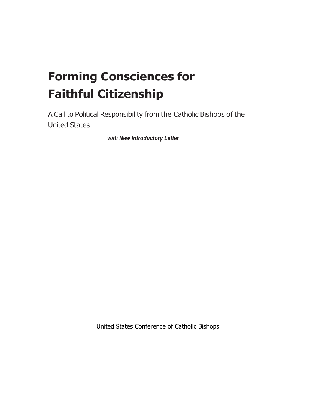# **Forming Consciences for Faithful Citizenship**

A Call to Political Responsibility from the Catholic Bishops of the United States

*with New Introductory Letter*

United States Conference of Catholic Bishops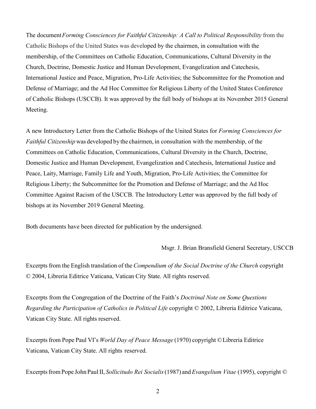The document*Forming Consciences for Faithful Citizenship: A Call to Political Responsibility* from the Catholic Bishops of the United States was developed by the chairmen, in consultation with the membership, of the Committees on Catholic Education, Communications, Cultural Diversity in the Church, Doctrine, Domestic Justice and Human Development, Evangelization and Catechesis, International Justice and Peace, Migration, Pro-Life Activities; the Subcommittee for the Promotion and Defense of Marriage; and the Ad Hoc Committee for Religious Liberty of the United States Conference of Catholic Bishops (USCCB). It was approved by the full body of bishops at its November 2015 General Meeting.

A new Introductory Letter from the Catholic Bishops of the United States for *Forming Consciences for Faithful Citizenship* was developed by the chairmen, in consultation with the membership, of the Committees on Catholic Education, Communications, Cultural Diversity in the Church, Doctrine, Domestic Justice and Human Development, Evangelization and Catechesis, International Justice and Peace, Laity, Marriage, Family Life and Youth, Migration, Pro-Life Activities; the Committee for Religious Liberty; the Subcommittee for the Promotion and Defense of Marriage; and the Ad Hoc Committee Against Racism of the USCCB. The Introductory Letter was approved by the full body of bishops at its November 2019 General Meeting.

Both documents have been directed for publication by the undersigned.

#### Msgr. J. Brian Bransfield General Secretary, USCCB

Excerpts from the English translation of the *Compendium of the Social Doctrine of the Church* copyright © 2004, Libreria Editrice Vaticana, Vatican City State. All rights reserved.

Excerpts from the Congregation of the Doctrine of the Faith's *Doctrinal Note on Some Questions Regarding the Participation of Catholics in Political Life* copyright © 2002, Libreria Editrice Vaticana, Vatican City State. All rights reserved.

Excerpts from Pope Paul VI's *World Day of Peace Message* (1970) copyright © Libreria Editrice Vaticana, Vatican City State. All rights reserved.

ExcerptsfromPope John PaulII, *Sollicitudo Rei Socialis*(1987) and*Evangelium Vitae* (1995), copyright ©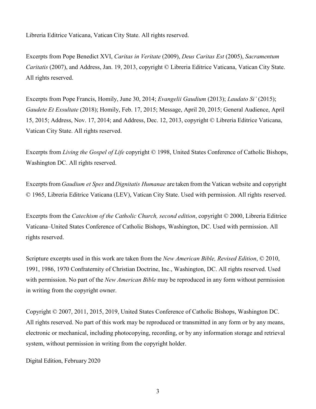Libreria Editrice Vaticana, Vatican City State. All rights reserved.

Excerpts from Pope Benedict XVI, *Caritas in Veritate* (2009), *Deus Caritas Est* (2005), *Sacramentum Caritatis* (2007), and Address, Jan. 19, 2013, copyright © Libreria Editrice Vaticana, Vatican City State. All rights reserved.

Excerpts from Pope Francis, Homily, June 30, 2014; *Evangelii Gaudium* (2013); *Laudato Si'* (2015); *Gaudete Et Exsultate* (2018); Homily, Feb. 17, 2015; Message, April 20, 2015; General Audience, April 15, 2015; Address, Nov. 17, 2014; and Address, Dec. 12, 2013, copyright © Libreria Editrice Vaticana, Vatican City State. All rights reserved.

Excerpts from *Living the Gospel of Life* copyright © 1998, United States Conference of Catholic Bishops, Washington DC. All rights reserved.

Excerptsfrom *Gaudium et Spes* and *Dignitatis Humanae* are taken from the Vatican website and copyright © 1965, Libreria Editrice Vaticana (LEV), Vatican City State. Used with permission. All rights reserved.

Excerpts from the *Catechism of the Catholic Church, second edition*, copyright © 2000, Libreria Editrice Vaticana–United States Conference of Catholic Bishops, Washington, DC. Used with permission. All rights reserved.

Scripture excerpts used in this work are taken from the *New American Bible, Revised Edition*, © 2010, 1991, 1986, 1970 Confraternity of Christian Doctrine, Inc., Washington, DC. All rights reserved. Used with permission. No part of the *New American Bible* may be reproduced in any form without permission in writing from the copyright owner.

Copyright © 2007, 2011, 2015, 2019, United States Conference of Catholic Bishops, Washington DC. All rights reserved. No part of this work may be reproduced or transmitted in any form or by any means, electronic or mechanical, including photocopying, recording, or by any information storage and retrieval system, without permission in writing from the copyright holder.

Digital Edition, February 2020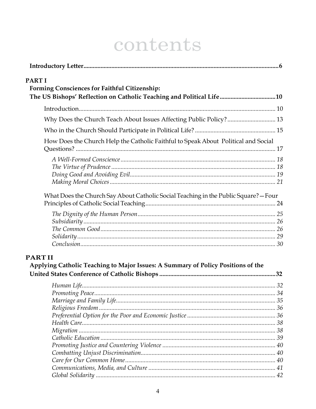# contents

| <b>PARTI</b><br>Forming Consciences for Faithful Citizenship:<br>The US Bishops' Reflection on Catholic Teaching and Political Life10 |  |
|---------------------------------------------------------------------------------------------------------------------------------------|--|
|                                                                                                                                       |  |
| Why Does the Church Teach About Issues Affecting Public Policy?  13                                                                   |  |
|                                                                                                                                       |  |
| How Does the Church Help the Catholic Faithful to Speak About Political and Social                                                    |  |
|                                                                                                                                       |  |
|                                                                                                                                       |  |
|                                                                                                                                       |  |
|                                                                                                                                       |  |
| What Does the Church Say About Catholic Social Teaching in the Public Square? - Four                                                  |  |
|                                                                                                                                       |  |
|                                                                                                                                       |  |
|                                                                                                                                       |  |
|                                                                                                                                       |  |
|                                                                                                                                       |  |
|                                                                                                                                       |  |
| <b>PARTII</b><br>Applying Catholic Teaching to Major Issues: A Summary of Policy Positions of the                                     |  |
|                                                                                                                                       |  |
|                                                                                                                                       |  |
|                                                                                                                                       |  |
|                                                                                                                                       |  |
|                                                                                                                                       |  |
|                                                                                                                                       |  |
|                                                                                                                                       |  |
|                                                                                                                                       |  |
|                                                                                                                                       |  |
|                                                                                                                                       |  |
|                                                                                                                                       |  |
|                                                                                                                                       |  |
|                                                                                                                                       |  |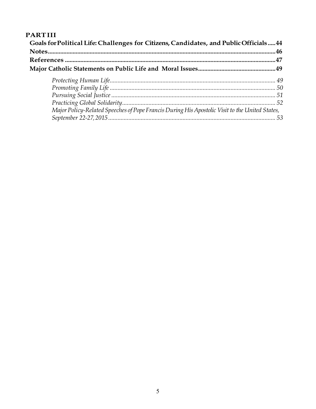### **PARTIII**

| Goals for Political Life: Challenges for Citizens, Candidates, and Public Officials 44         |  |
|------------------------------------------------------------------------------------------------|--|
|                                                                                                |  |
|                                                                                                |  |
|                                                                                                |  |
|                                                                                                |  |
|                                                                                                |  |
|                                                                                                |  |
|                                                                                                |  |
| Major Policy-Related Speeches of Pope Francis During His Apostolic Visit to the United States, |  |
|                                                                                                |  |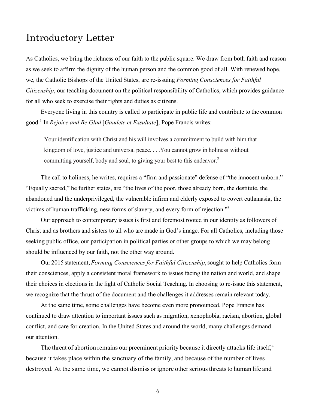## <span id="page-5-0"></span>Introductory Letter

As Catholics, we bring the richness of our faith to the public square. We draw from both faith and reason as we seek to affirm the dignity of the human person and the common good of all. With renewed hope, we, the Catholic Bishops of the United States, are re-issuing *Forming Consciences for Faithful Citizenship*, our teaching document on the political responsibility of Catholics, which provides guidance for all who seek to exercise their rights and duties as citizens.

Everyone living in this country is called to participate in public life and contribute to the common good.1 In *Rejoice and Be Glad* [*Gaudete et Exsultate*], Pope Francis writes:

Your identification with Christ and his will involves a commitment to build with him that kingdom of love, justice and universal peace. . . .You cannot grow in holiness without committing yourself, body and soul, to giving your best to this endeavor.<sup>2</sup>

The call to holiness, he writes, requires a "firm and passionate" defense of "the innocent unborn." "Equally sacred," he further states, are "the lives of the poor, those already born, the destitute, the abandoned and the underprivileged, the vulnerable infirm and elderly exposed to covert euthanasia, the victims of human trafficking, new forms of slavery, and every form of rejection."3

Our approach to contemporary issues is first and foremost rooted in our identity as followers of Christ and as brothers and sisters to all who are made in God's image. For all Catholics, including those seeking public office, our participation in political parties or other groups to which we may belong should be influenced by our faith, not the other way around.

Our 2015 statement, *Forming Consciences for Faithful Citizenship*,sought to help Catholics form their consciences, apply a consistent moral framework to issues facing the nation and world, and shape their choices in elections in the light of Catholic Social Teaching. In choosing to re-issue this statement, we recognize that the thrust of the document and the challenges it addresses remain relevant today.

At the same time, some challenges have become even more pronounced. Pope Francis has continued to draw attention to important issues such as migration, xenophobia, racism, abortion, global conflict, and care for creation. In the United States and around the world, many challenges demand our attention.

The threat of abortion remains our preeminent priority because it directly attacks life itself,<sup>4</sup> because it takes place within the sanctuary of the family, and because of the number of lives destroyed. At the same time, we cannot dismiss or ignore other serious threats to human life and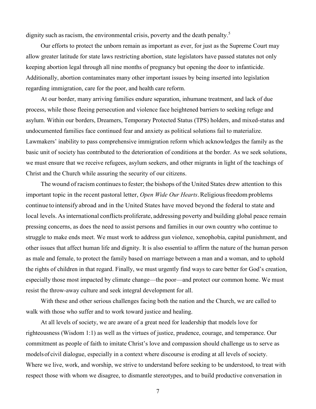dignity such as racism, the environmental crisis, poverty and the death penalty.<sup>5</sup>

Our efforts to protect the unborn remain as important as ever, for just as the Supreme Court may allow greater latitude for state laws restricting abortion, state legislators have passed statutes not only keeping abortion legal through all nine months of pregnancy but opening the door to infanticide. Additionally, abortion contaminates many other important issues by being inserted into legislation regarding immigration, care for the poor, and health care reform.

At our border, many arriving families endure separation, inhumane treatment, and lack of due process, while those fleeing persecution and violence face heightened barriers to seeking refuge and asylum. Within our borders, Dreamers, Temporary Protected Status (TPS) holders, and mixed-status and undocumented families face continued fear and anxiety as political solutions fail to materialize. Lawmakers' inability to pass comprehensive immigration reform which acknowledges the family as the basic unit of society has contributed to the deterioration of conditions at the border. As we seek solutions, we must ensure that we receive refugees, asylum seekers, and other migrants in light of the teachings of Christ and the Church while assuring the security of our citizens.

The wound of racism continues to fester; the bishops of the United States drew attention to this important topic in the recent pastoral letter, *Open Wide Our Hearts*. Religious freedom problems continue to intensify abroad and in the United States have moved beyond the federal to state and local levels. Asinternational conflicts proliferate, addressing poverty and building global peace remain pressing concerns, as does the need to assist persons and families in our own country who continue to struggle to make ends meet. We must work to address gun violence, xenophobia, capital punishment, and other issues that affect human life and dignity. It is also essential to affirm the nature of the human person as male and female, to protect the family based on marriage between a man and a woman, and to uphold the rights of children in that regard. Finally, we must urgently find ways to care better for God's creation, especially those most impacted by climate change—the poor—and protect our common home. We must resist the throw-away culture and seek integral development for all.

With these and other serious challenges facing both the nation and the Church, we are called to walk with those who suffer and to work toward justice and healing.

At all levels of society, we are aware of a great need for leadership that models love for righteousness (Wisdom 1:1) as well as the virtues of justice, prudence, courage, and temperance. Our commitment as people of faith to imitate Christ's love and compassion should challenge us to serve as modelsof civil dialogue, especially in a context where discourse is eroding at all levels of society. Where we live, work, and worship, we strive to understand before seeking to be understood, to treat with respect those with whom we disagree, to dismantle stereotypes, and to build productive conversation in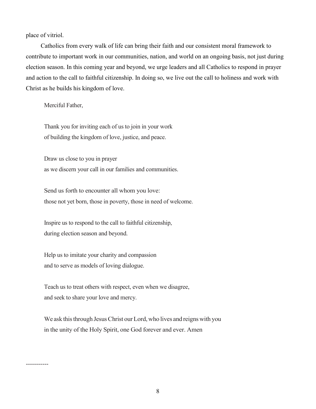place of vitriol.

-----------

Catholics from every walk of life can bring their faith and our consistent moral framework to contribute to important work in our communities, nation, and world on an ongoing basis, not just during election season. In this coming year and beyond, we urge leaders and all Catholics to respond in prayer and action to the call to faithful citizenship. In doing so, we live out the call to holiness and work with Christ as he builds his kingdom of love.

Merciful Father,

Thank you for inviting each of us to join in your work of building the kingdom of love, justice, and peace.

Draw us close to you in prayer as we discern your call in our families and communities.

Send us forth to encounter all whom you love: those not yet born, those in poverty, those in need of welcome.

Inspire us to respond to the call to faithful citizenship, during election season and beyond.

Help us to imitate your charity and compassion and to serve as models of loving dialogue.

Teach us to treat others with respect, even when we disagree, and seek to share your love and mercy.

We ask this through Jesus Christ our Lord, who lives and reigns with you in the unity of the Holy Spirit, one God forever and ever. Amen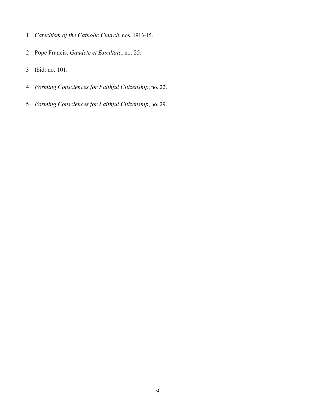- *Catechism of the Catholic Church*, nos. 1913-15.
- 2 Pope Francis, *Gaudete et Exsultate*, no. 25.
- 3 Ibid, no. 101.
- *Forming Consciences for Faithful Citizenship*, no. 22.
- *Forming Consciences for Faithful Citizenship*, no. 29.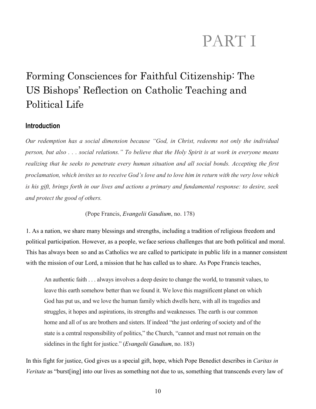# <span id="page-9-2"></span>PART I

# <span id="page-9-1"></span><span id="page-9-0"></span>Forming Consciences for Faithful Citizenship: The US Bishops' Reflection on Catholic Teaching and Political Life

#### <span id="page-9-3"></span>**Introduction**

*Our redemption has a social dimension because "God, in Christ, redeems not only the individual person, but also . . . social relations." To believe that the Holy Spirit is at work in everyone means realizing that he seeks to penetrate every human situation and all social bonds. Accepting the first proclamation, which invites us to receive God's love and to love him in return with the very love which is his gift, brings forth in our lives and actions a primary and fundamental response: to desire, seek and protect the good of others.*

(Pope Francis, *Evangelii Gaudium*, no. 178)

1. As a nation, we share many blessings and strengths, including a tradition of religious freedom and political participation. However, as a people, we face serious challenges that are both political and moral. This has always been so and as Catholics we are called to participate in public life in a manner consistent with the mission of our Lord, a mission that he has called us to share. As Pope Francis teaches,

An authentic faith . . . always involves a deep desire to change the world, to transmit values, to leave this earth somehow better than we found it. We love this magnificent planet on which God has put us, and we love the human family which dwells here, with all its tragedies and struggles, it hopes and aspirations, its strengths and weaknesses. The earth is our common home and all of us are brothers and sisters. If indeed "the just ordering of society and of the state is a central responsibility of politics," the Church, "cannot and must not remain on the sidelines in the fight for justice." (*Evangelii Gaudium*, no. 183)

In this fight for justice, God gives us a special gift, hope, which Pope Benedict describes in *Caritas in Veritate* as "burst[ing] into our lives as something not due to us, something that transcends every law of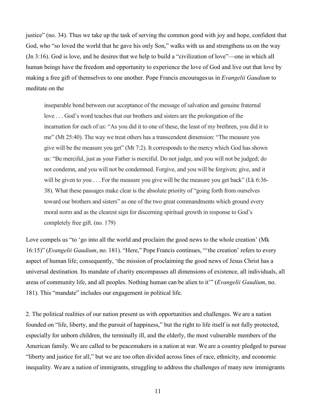justice" (no. 34). Thus we take up the task of serving the common good with joy and hope, confident that God, who "so loved the world that he gave his only Son," walks with us and strengthens us on the way (Jn 3:16). God is love, and he desires that we help to build a "civilization of love"—one in which all human beings have the freedom and opportunity to experience the love of God and live out that love by making a free gift of themselves to one another. Pope Francis encouragesus in *Evangelii Gaudium* to meditate on the

inseparable bond between our acceptance of the message of salvation and genuine fraternal love . . . God's word teaches that our brothers and sisters are the prolongation of the incarnation for each of us: "As you did it to one of these, the least of my brethren, you did it to me" (Mt 25:40). The way we treat others has a transcendent dimension: "The measure you give will be the measure you get" (Mt 7:2). It corresponds to the mercy which God has shown us: "Be merciful, just as your Father is merciful. Do not judge, and you will not be judged; do not condemn, and you will not be condemned. Forgive, and you will be forgiven; give, and it will be given to you . . . For the measure you give will be the measure you get back" (Lk 6:36-38). What these passages make clear is the absolute priority of "going forth from ourselves toward our brothers and sisters" as one of the two great commandments which ground every moral norm and as the clearest sign for discerning spiritual growth in response to God's completely free gift. (no. 179)

Love compels us "to 'go into all the world and proclaim the good news to the whole creation' (Mk 16:15)" (*Evangelii Gaudium*, no. 181). "Here," Pope Francis continues, "'the creation' refers to every aspect of human life; consequently, 'the mission of proclaiming the good news of Jesus Christ has a universal destination. Its mandate of charity encompasses all dimensions of existence, all individuals, all areas of community life, and all peoples. Nothing human can be alien to it'" (*Evangelii Gaudium*, no. 181). This "mandate" includes our engagement in political life.

2. The political realities of our nation present us with opportunities and challenges. We are a nation founded on "life, liberty, and the pursuit of happiness," but the right to life itself is not fully protected, especially for unborn children, the terminally ill, and the elderly, the most vulnerable members of the American family. We are called to be peacemakers in a nation at war. We are a country pledged to pursue "liberty and justice for all," but we are too often divided across lines of race, ethnicity, and economic inequality. We are a nation of immigrants, struggling to address the challenges of many new immigrants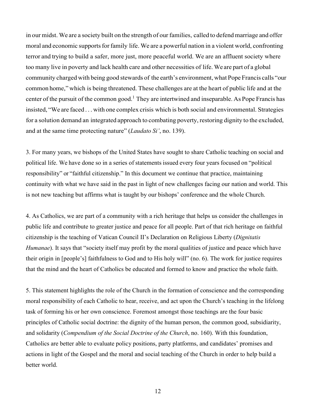in our midst. We are a society built on the strength of our families, called to defend marriage and offer moral and economic supports for family life. We are a powerful nation in a violent world, confronting terror and trying to build a safer, more just, more peaceful world. We are an affluent society where too many live in poverty and lack health care and other necessities of life. We are part of a global community charged with being good stewards of the earth's environment, what Pope Francis calls "our common home," which is being threatened. These challenges are at the heart of public life and at the center of the pursuit of the common good.<sup>1</sup> They are intertwined and inseparable. As Pope Francis has insisted, "We are faced . . . with one complex crisis which is both social and environmental. Strategies for a solution demand an integrated approach to combating poverty, restoring dignity to the excluded, and at the same time protecting nature" (*Laudato Si'*, no. 139).

3. For many years, we bishops of the United States have sought to share Catholic teaching on social and political life. We have done so in a series of statements issued every four years focused on "political responsibility" or "faithful citizenship." In this document we continue that practice, maintaining continuity with what we have said in the past in light of new challenges facing our nation and world. This is not new teaching but affirms what is taught by our bishops' conference and the whole Church.

4. As Catholics, we are part of a community with a rich heritage that helps us consider the challenges in public life and contribute to greater justice and peace for all people. Part of that rich heritage on faithful citizenship is the teaching of Vatican Council II's Declaration on Religious Liberty (*Dignitatis Humanae*). It says that "society itself may profit by the moral qualities of justice and peace which have their origin in [people's] faithfulness to God and to His holy will" (no. 6). The work for justice requires that the mind and the heart of Catholics be educated and formed to know and practice the whole faith.

5. This statement highlights the role of the Church in the formation of conscience and the corresponding moral responsibility of each Catholic to hear, receive, and act upon the Church's teaching in the lifelong task of forming his or her own conscience. Foremost amongst those teachings are the four basic principles of Catholic social doctrine: the dignity of the human person, the common good, subsidiarity, and solidarity (*Compendium of the Social Doctrine of the Church*, no. 160). With this foundation, Catholics are better able to evaluate policy positions, party platforms, and candidates' promises and actions in light of the Gospel and the moral and social teaching of the Church in order to help build a better world.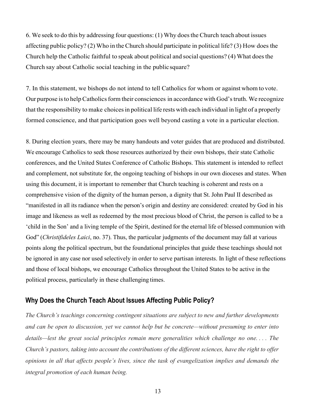6. We seek to do this by addressing four questions: (1) Why doesthe Church teach about issues affecting public policy? (2) Who in the Church should participate in political life? (3) How does the Church help the Catholic faithful to speak about political and social questions? (4) What doesthe Church say about Catholic social teaching in the publicsquare?

7. In this statement, we bishops do not intend to tell Catholics for whom or against whom to vote. Our purpose is to help Catholics form their consciences in accordance with God's truth. We recognize that the responsibility to make choices in political life rests with each individual in light of a properly formed conscience, and that participation goes well beyond casting a vote in a particular election.

8. During election years, there may be many handouts and voter guides that are produced and distributed. We encourage Catholics to seek those resources authorized by their own bishops, their state Catholic conferences, and the United States Conference of Catholic Bishops. This statement is intended to reflect and complement, not substitute for, the ongoing teaching of bishops in our own dioceses and states. When using this document, it is important to remember that Church teaching is coherent and rests on a comprehensive vision of the dignity of the human person, a dignity that St. John Paul II described as "manifested in all its radiance when the person's origin and destiny are considered: created by God in his image and likeness as well as redeemed by the most precious blood of Christ, the person is called to be a 'child in the Son' and a living temple of the Spirit, destined for the eternal life of blessed communion with God" (*Christifideles Laici*, no. 37). Thus, the particular judgments of the document may fall at various points along the political spectrum, but the foundational principles that guide these teachings should not be ignored in any case nor used selectively in order to serve partisan interests. In light of these reflections and those of local bishops, we encourage Catholics throughout the United States to be active in the political process, particularly in these challenging times.

#### <span id="page-12-0"></span>**Why Does the Church Teach About Issues Affecting Public Policy?**

*The Church's teachings concerning contingent situations are subject to new and further developments and can be open to discussion, yet we cannot help but be concrete—without presuming to enter into details—lest the great social principles remain mere generalities which challenge no one. . . . The Church's pastors, taking into account the contributions of the different sciences, have the right to offer opinions in all that affects people's lives, since the task of evangelization implies and demands the integral promotion of each human being.*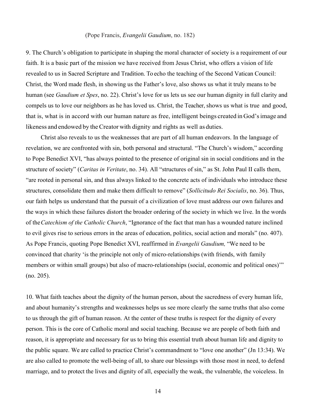#### (Pope Francis, *Evangelii Gaudium*, no. 182)

9. The Church's obligation to participate in shaping the moral character of society is a requirement of our faith. It is a basic part of the mission we have received from Jesus Christ, who offers a vision of life revealed to us in Sacred Scripture and Tradition. To echo the teaching of the Second Vatican Council: Christ, the Word made flesh, in showing us the Father's love, also shows us what it truly means to be human (see *Gaudium et Spes*, no. 22). Christ's love for us lets us see our human dignity in full clarity and compels us to love our neighbors as he has loved us. Christ, the Teacher, shows us what is true and good, that is, what is in accord with our human nature as free, intelligent beings created in God'simage and likeness and endowed by theCreator with dignity and rights as well as duties.

Christ also reveals to us the weaknesses that are part of all human endeavors. In the language of revelation, we are confronted with sin, both personal and structural. "The Church's wisdom," according to Pope Benedict XVI, "has always pointed to the presence of original sin in social conditions and in the structure of society" (*Caritas in Veritate*, no. 34). All "structures of sin," as St. John Paul II calls them, "are rooted in personal sin, and thus always linked to the concrete acts of individuals who introduce these structures, consolidate them and make them difficult to remove" (*Sollicitudo Rei Socialis*, no. 36). Thus, our faith helps us understand that the pursuit of a civilization of love must address our own failures and the ways in which these failures distort the broader ordering of the society in which we live. In the words of the*Catechism of the Catholic Church*, "Ignorance of the fact that man has a wounded nature inclined to evil gives rise to serious errors in the areas of education, politics, social action and morals" (no. 407). As Pope Francis, quoting Pope Benedict XVI, reaffirmed in *Evangelii Gaudium,* "We need to be convinced that charity 'is the principle not only of micro-relationships (with friends, with family members or within small groups) but also of macro-relationships (social, economic and political ones)'" (no. 205).

10. What faith teaches about the dignity of the human person, about the sacredness of every human life, and about humanity's strengths and weaknesses helps us see more clearly the same truths that also come to us through the gift of human reason. At the center of these truths is respect for the dignity of every person. This is the core of Catholic moral and social teaching. Because we are people of both faith and reason, it is appropriate and necessary for us to bring this essential truth about human life and dignity to the public square. We are called to practice Christ's commandment to "love one another" (Jn 13:34). We are also called to promote the well-being of all, to share our blessings with those most in need, to defend marriage, and to protect the lives and dignity of all, especially the weak, the vulnerable, the voiceless. In

14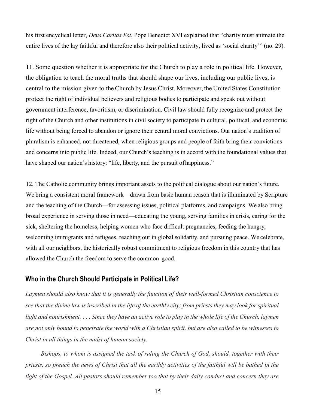his first encyclical letter, *Deus Caritas Est*, Pope Benedict XVI explained that "charity must animate the entire lives of the lay faithful and therefore also their political activity, lived as 'social charity'" (no. 29).

11. Some question whether it is appropriate for the Church to play a role in political life. However, the obligation to teach the moral truths that should shape our lives, including our public lives, is central to the mission given to the Church by Jesus Christ. Moreover, the United States Constitution protect the right of individual believers and religious bodies to participate and speak out without government interference, favoritism, or discrimination. Civil law should fully recognize and protect the right of the Church and other institutions in civil society to participate in cultural, political, and economic life without being forced to abandon or ignore their central moral convictions. Our nation's tradition of pluralism is enhanced, not threatened, when religious groups and people of faith bring their convictions and concerns into public life. Indeed, our Church's teaching is in accord with the foundational values that have shaped our nation's history: "life, liberty, and the pursuit of happiness."

12. The Catholic community brings important assets to the political dialogue about our nation's future. We bring a consistent moral framework—drawn from basic human reason that is illuminated by Scripture and the teaching of the Church—for assessing issues, political platforms, and campaigns. We also bring broad experience in serving those in need—educating the young, serving families in crisis, caring for the sick, sheltering the homeless, helping women who face difficult pregnancies, feeding the hungry, welcoming immigrants and refugees, reaching out in global solidarity, and pursuing peace. We celebrate, with all our neighbors, the historically robust commitment to religious freedom in this country that has allowed the Church the freedom to serve the common good.

#### <span id="page-14-0"></span>**Who in the Church Should Participate in Political Life?**

*Laymen should also know that it is generally the function of their well-formed Christian conscience to see that the divine law is inscribed in the life of the earthly city; from priests they may look for spiritual light and nourishment. . . . Since they have an active role to play in the whole life of the Church, laymen are not only bound to penetrate the world with a Christian spirit, but are also called to be witnesses to Christ in all things in the midst of human society.*

*Bishops, to whom is assigned the task of ruling the Church of God, should, together with their priests, so preach the news of Christ that all the earthly activities of the faithful will be bathed in the light of the Gospel. All pastors should remember too that by their daily conduct and concern they are*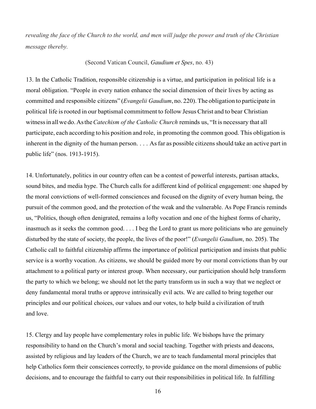*revealing the face of the Church to the world, and men will judge the power and truth of the Christian message thereby.*

(Second Vatican Council, *Gaudium et Spes*, no. 43)

13. In the Catholic Tradition, responsible citizenship is a virtue, and participation in political life is a moral obligation. "People in every nation enhance the social dimension of their lives by acting as committed and responsible citizens" (*Evangelii Gaudium*, no. 220).The obligation to participate in political life is rooted in our baptismal commitment to follow Jesus Christ and to bear Christian witnessinallwe do.Asthe*Catechism of the Catholic Church* reminds us, "It is necessary that all participate, each according to his position and role, in promoting the common good. This obligation is inherent in the dignity of the human person.  $\ldots$  As far as possible citizens should take an active part in public life" (nos. 1913-1915).

14. Unfortunately, politics in our country often can be a contest of powerful interests, partisan attacks, sound bites, and media hype. The Church calls for a different kind of political engagement: one shaped by the moral convictions of well-formed consciences and focused on the dignity of every human being, the pursuit of the common good, and the protection of the weak and the vulnerable. As Pope Francis reminds us, "Politics, though often denigrated, remains a lofty vocation and one of the highest forms of charity, inasmuch as it seeks the common good. . . . I beg the Lord to grant us more politicians who are genuinely disturbed by the state of society, the people, the lives of the poor!" (*Evangelii Gaudium*, no. 205). The Catholic call to faithful citizenship affirms the importance of political participation and insists that public service is a worthy vocation. As citizens, we should be guided more by our moral convictions than by our attachment to a political party or interest group. When necessary, our participation should help transform the party to which we belong; we should not let the party transform us in such a way that we neglect or deny fundamental moral truths or approve intrinsically evil acts. We are called to bring together our principles and our political choices, our values and our votes, to help build a civilization of truth and love.

15. Clergy and lay people have complementary roles in public life. We bishops have the primary responsibility to hand on the Church's moral and social teaching. Together with priests and deacons, assisted by religious and lay leaders of the Church, we are to teach fundamental moral principles that help Catholics form their consciences correctly, to provide guidance on the moral dimensions of public decisions, and to encourage the faithful to carry out their responsibilities in political life. In fulfilling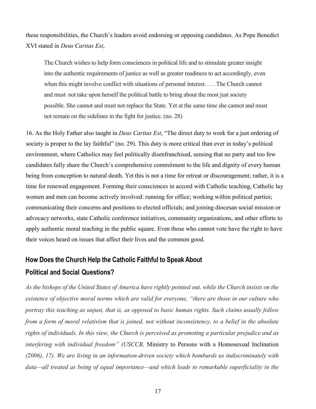these responsibilities, the Church's leaders avoid endorsing or opposing candidates. As Pope Benedict XVI stated in *Deus Caritas Est*,

The Church wishes to help form consciences in political life and to stimulate greater insight into the authentic requirements of justice as well as greater readiness to act accordingly, even when this might involve conflict with situations of personal interest. . . . The Church cannot and must not take upon herself the political battle to bring about the most just society possible. She cannot and must not replace the State. Yet at the same time she cannot and must not remain on the sidelines in the fight for justice. (no. 28)

16. As the Holy Father also taught in *Deus Caritas Est*, "The direct duty to work for a just ordering of society is proper to the lay faithful" (no. 29). This duty is more critical than ever in today's political environment, where Catholics may feel politically disenfranchised, sensing that no party and too few candidates fully share the Church's comprehensive commitment to the life and dignity of every human being from conception to natural death. Yet this is not a time for retreat or discouragement; rather, it is a time for renewed engagement. Forming their consciences in accord with Catholic teaching, Catholic lay women and men can become actively involved: running for office; working within political parties; communicating their concerns and positions to elected officials; and joining diocesan social mission or advocacy networks, state Catholic conference initiatives, community organizations, and other efforts to apply authentic moral teaching in the public square. Even those who cannot vote have the right to have their voices heard on issues that affect their lives and the common good.

### <span id="page-16-0"></span>**How Does the Church Help the Catholic Faithful to Speak About Political and Social Questions?**

*As the bishops of the United States of America have rightly pointed out, while the Church insists on the existence of objective moral norms which are valid for everyone, "there are those in our culture who portray this teaching as unjust, that is, as opposed to basic human rights. Such claims usually follow from a form of moral relativism that is joined, not without inconsistency, to a belief in the absolute rights of individuals. In this view, the Church is perceived as promoting a particular prejudice and as interfering with individual freedom" (USCCB,* Ministry to Persons with a Homosexual Inclination *(2006), 17). We are living in an information-driven society which bombards us indiscriminately with data—all treated as being of equal importance—and which leads to remarkable superficiality in the*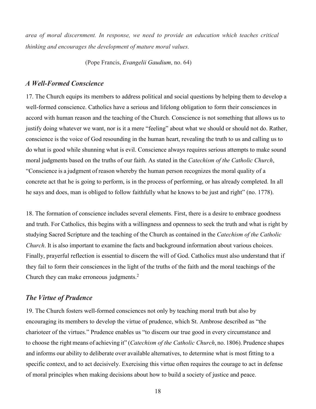*area of moral discernment. In response, we need to provide an education which teaches critical thinking and encourages the development of mature moral values.*

(Pope Francis, *Evangelii Gaudium*, no. 64)

#### <span id="page-17-0"></span>*A Well-Formed Conscience*

17. The Church equips its members to address political and social questions by helping them to develop a well-formed conscience. Catholics have a serious and lifelong obligation to form their consciences in accord with human reason and the teaching of the Church. Conscience is not something that allows us to justify doing whatever we want, nor is it a mere "feeling" about what we should or should not do. Rather, conscience is the voice of God resounding in the human heart, revealing the truth to us and calling us to do what is good while shunning what is evil. Conscience always requires serious attempts to make sound moral judgments based on the truths of our faith. As stated in the *Catechism of the Catholic Church*, "Conscience is a judgment of reason whereby the human person recognizes the moral quality of a concrete act that he is going to perform, is in the process of performing, or has already completed. In all he says and does, man is obliged to follow faithfully what he knows to be just and right" (no. 1778).

18. The formation of conscience includes several elements. First, there is a desire to embrace goodness and truth. For Catholics, this begins with a willingness and openness to seek the truth and what is right by studying Sacred Scripture and the teaching of the Church as contained in the *Catechism of the Catholic Church*. It is also important to examine the facts and background information about various choices. Finally, prayerful reflection is essential to discern the will of God. Catholics must also understand that if they fail to form their consciences in the light of the truths of the faith and the moral teachings of the Church they can make erroneous judgments.<sup>2</sup>

#### <span id="page-17-1"></span>*The Virtue of Prudence*

19. The Church fosters well-formed consciences not only by teaching moral truth but also by encouraging its members to develop the virtue of prudence, which St. Ambrose described as "the charioteer of the virtues." Prudence enables us "to discern our true good in every circumstance and to choose the right means of achieving it" (*Catechism of the Catholic Church*, no. 1806). Prudence shapes and informs our ability to deliberate over available alternatives, to determine what is most fitting to a specific context, and to act decisively. Exercising this virtue often requires the courage to act in defense of moral principles when making decisions about how to build a society of justice and peace.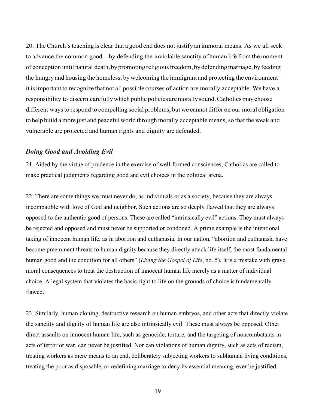20. The Church'steaching is clear that a good end does not justify an immoral means. As we all seek to advance the common good—by defending the inviolable sanctity of human life from the moment of conception until natural death,by promoting religiousfreedom, by defendingmarriage, by feeding the hungry and housing the homeless, by welcoming the immigrant and protecting the environment it isimportant to recognize that not all possible courses of action are morally acceptable. We have a responsibility to discern carefully which public policies are morally sound. Catholics may choose different waysto respond to compelling social problems, but we cannot differ on our moral obligation to help build a more just and peaceful world through morally acceptable means, so that the weak and vulnerable are protected and human rights and dignity are defended.

#### <span id="page-18-0"></span>*Doing Good and Avoiding Evil*

21. Aided by the virtue of prudence in the exercise of well-formed consciences, Catholics are called to make practical judgments regarding good and evil choices in the political arena.

22. There are some things we must never do, as individuals or as a society, because they are always incompatible with love of God and neighbor. Such actions are so deeply flawed that they are always opposed to the authentic good of persons. These are called "intrinsically evil" actions. They must always be rejected and opposed and must never be supported or condoned. A prime example is the intentional taking of innocent human life, as in abortion and euthanasia. In our nation, "abortion and euthanasia have become preeminent threats to human dignity because they directly attack life itself, the most fundamental human good and the condition for all others" (*Living the Gospel of Life*, no. 5). It is a mistake with grave moral consequences to treat the destruction of innocent human life merely as a matter of individual choice. A legal system that violates the basic right to life on the grounds of choice is fundamentally flawed.

23. Similarly, human cloning, destructive research on human embryos, and other acts that directly violate the sanctity and dignity of human life are also intrinsically evil. These must always be opposed. Other direct assaults on innocent human life, such as genocide, torture, and the targeting of noncombatants in acts of terror or war, can never be justified. Nor can violations of human dignity, such as acts of racism, treating workers as mere means to an end, deliberately subjecting workers to subhuman living conditions, treating the poor as disposable, or redefining marriage to deny its essential meaning, ever be justified.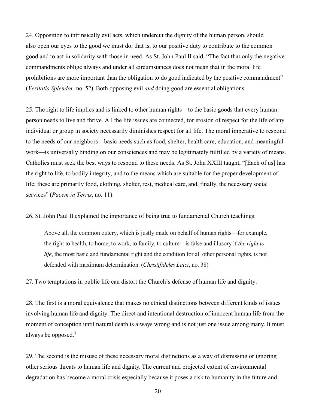24. Opposition to intrinsically evil acts, which undercut the dignity of the human person, should also open our eyes to the good we must do, that is, to our positive duty to contribute to the common good and to act in solidarity with those in need. As St. John Paul II said, "The fact that only the negative commandments oblige always and under all circumstances does not mean that in the moral life prohibitions are more important than the obligation to do good indicated by the positive commandment" (*Veritatis Splendor*, no. 52). Both opposing evil *and* doing good are essential obligations.

25. The right to life implies and is linked to other human rights—to the basic goods that every human person needs to live and thrive. All the life issues are connected, for erosion of respect for the life of any individual or group in society necessarily diminishes respect for all life. The moral imperative to respond to the needs of our neighbors—basic needs such as food, shelter, health care, education, and meaningful work—is universally binding on our consciences and may be legitimately fulfilled by a variety of means. Catholics must seek the best ways to respond to these needs. As St. John XXIII taught, "[Each of us] has the right to life, to bodily integrity, and to the means which are suitable for the proper development of life; these are primarily food, clothing, shelter, rest, medical care, and, finally, the necessary social services" (*Pacem in Terris*, no. 11).

26. St. John Paul II explained the importance of being true to fundamental Church teachings:

Above all, the common outcry, which is justly made on behalf of human rights—for example, the right to health, to home, to work, to family, to culture—is false and illusory if *the right to life*, the most basic and fundamental right and the condition for all other personal rights, is not defended with maximum determination. (*Christifideles Laici*, no. 38)

27. Two temptations in public life can distort the Church's defense of human life and dignity:

28. The first is a moral equivalence that makes no ethical distinctions between different kinds of issues involving human life and dignity. The direct and intentional destruction of innocent human life from the moment of conception until natural death is always wrong and is not just one issue among many. It must always be opposed. $3$ 

29. The second is the misuse of these necessary moral distinctions as a way of dismissing or ignoring other serious threats to human life and dignity. The current and projected extent of environmental degradation has become a moral crisis especially because it poses a risk to humanity in the future and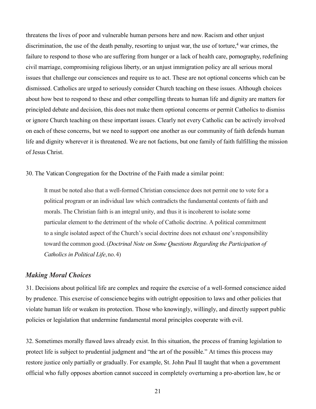threatens the lives of poor and vulnerable human persons here and now. Racism and other unjust discrimination, the use of the death penalty, resorting to unjust war, the use of torture,  $4 \text{ war}$  crimes, the failure to respond to those who are suffering from hunger or a lack of health care, pornography, redefining civil marriage, compromising religious liberty, or an unjust immigration policy are all serious moral issues that challenge our consciences and require us to act. These are not optional concerns which can be dismissed. Catholics are urged to seriously consider Church teaching on these issues. Although choices about how best to respond to these and other compelling threats to human life and dignity are matters for principled debate and decision, this does not make them optional concerns or permit Catholics to dismiss or ignore Church teaching on these important issues. Clearly not every Catholic can be actively involved on each of these concerns, but we need to support one another as our community of faith defends human life and dignity wherever it is threatened. We are not factions, but one family of faith fulfilling the mission of Jesus Christ.

30. The Vatican Congregation for the Doctrine of the Faith made a similar point:

It must be noted also that a well-formed Christian conscience does not permit one to vote for a political program or an individual law which contradicts the fundamental contents of faith and morals. The Christian faith is an integral unity, and thus it is incoherent to isolate some particular element to the detriment of the whole of Catholic doctrine. A political commitment to a single isolated aspect of the Church's social doctrine does not exhaust one'sresponsibility toward the common good.(*Doctrinal Note on Some Questions Regarding the Participation of Catholics in Political Life*,no.4)

#### <span id="page-20-0"></span>*Making Moral Choices*

31. Decisions about political life are complex and require the exercise of a well-formed conscience aided by prudence. This exercise of conscience begins with outright opposition to laws and other policies that violate human life or weaken its protection. Those who knowingly, willingly, and directly support public policies or legislation that undermine fundamental moral principles cooperate with evil.

32. Sometimes morally flawed laws already exist. In this situation, the process of framing legislation to protect life is subject to prudential judgment and "the art of the possible." At times this process may restore justice only partially or gradually. For example, St. John Paul II taught that when a government official who fully opposes abortion cannot succeed in completely overturning a pro-abortion law, he or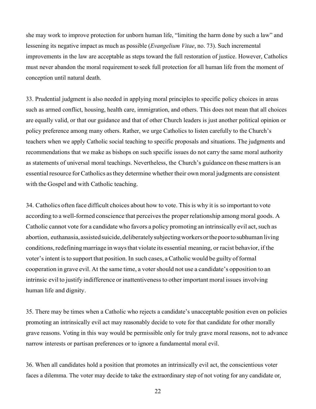she may work to improve protection for unborn human life, "limiting the harm done by such a law" and lessening its negative impact as much as possible (*Evangelium Vitae*, no. 73). Such incremental improvements in the law are acceptable as steps toward the full restoration of justice. However, Catholics must never abandon the moral requirement to seek full protection for all human life from the moment of conception until natural death.

33. Prudential judgment is also needed in applying moral principles to specific policy choices in areas such as armed conflict, housing, health care, immigration, and others. This does not mean that all choices are equally valid, or that our guidance and that of other Church leaders is just another political opinion or policy preference among many others. Rather, we urge Catholics to listen carefully to the Church's teachers when we apply Catholic social teaching to specific proposals and situations. The judgments and recommendations that we make as bishops on such specific issues do not carry the same moral authority as statements of universal moral teachings. Nevertheless, the Church's guidance on these mattersis an essential resource for Catholics as they determine whether their own moral judgments are consistent with the Gospel and with Catholic teaching.

34. Catholics often face difficult choices about how to vote. This is why it is so important to vote according to a well-formed conscience that perceives the proper relationship among moral goods. A Catholic cannot vote for a candidate who favors a policy promoting an intrinsically evil act, such as abortion, euthanasia, assisted suicide, deliberately subjecting workers or the poor to subhuman living conditions, redefining marriage in ways that violate its essential meaning, or racist behavior, if the voter's intent is to support that position. In such cases, a Catholic would be guilty of formal cooperation in grave evil. At the same time, a voter should not use a candidate's opposition to an intrinsic evil to justify indifference or inattentiveness to other important moral issues involving human life and dignity.

35. There may be times when a Catholic who rejects a candidate's unacceptable position even on policies promoting an intrinsically evil act may reasonably decide to vote for that candidate for other morally grave reasons. Voting in this way would be permissible only for truly grave moral reasons, not to advance narrow interests or partisan preferences or to ignore a fundamental moral evil.

36. When all candidates hold a position that promotes an intrinsically evil act, the conscientious voter faces a dilemma. The voter may decide to take the extraordinary step of not voting for any candidate or,

22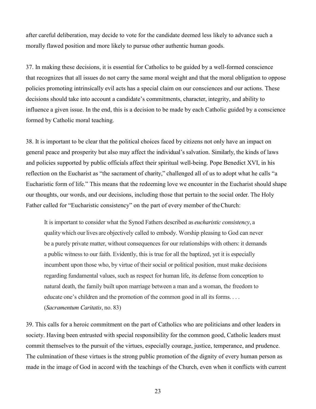after careful deliberation, may decide to vote for the candidate deemed less likely to advance such a morally flawed position and more likely to pursue other authentic human goods.

37. In making these decisions, it is essential for Catholics to be guided by a well-formed conscience that recognizes that all issues do not carry the same moral weight and that the moral obligation to oppose policies promoting intrinsically evil acts has a special claim on our consciences and our actions. These decisions should take into account a candidate's commitments, character, integrity, and ability to influence a given issue. In the end, this is a decision to be made by each Catholic guided by a conscience formed by Catholic moral teaching.

38. It is important to be clear that the political choices faced by citizens not only have an impact on general peace and prosperity but also may affect the individual's salvation. Similarly, the kinds of laws and policies supported by public officials affect their spiritual well-being. Pope Benedict XVI, in his reflection on the Eucharist as "the sacrament of charity," challenged all of us to adopt what he calls "a Eucharistic form of life." This means that the redeeming love we encounter in the Eucharist should shape our thoughts, our words, and our decisions, including those that pertain to the social order. The Holy Father called for "Eucharistic consistency" on the part of every member of theChurch:

It is important to consider what the Synod Fathers described as *eucharistic consistency*, a quality which our lives are objectively called to embody. Worship pleasing to God can never be a purely private matter, without consequences for our relationships with others: it demands a public witness to our faith. Evidently, this is true for all the baptized, yet it is especially incumbent upon those who, by virtue of their social or political position, must make decisions regarding fundamental values, such as respect for human life, its defense from conception to natural death, the family built upon marriage between a man and a woman, the freedom to educate one's children and the promotion of the common good in all its forms. . . . (*Sacramentum Caritatis*, no. 83)

39. This calls for a heroic commitment on the part of Catholics who are politicians and other leaders in society. Having been entrusted with special responsibility for the common good, Catholic leaders must commit themselves to the pursuit of the virtues, especially courage, justice, temperance, and prudence. The culmination of these virtues is the strong public promotion of the dignity of every human person as made in the image of God in accord with the teachings of the Church, even when it conflicts with current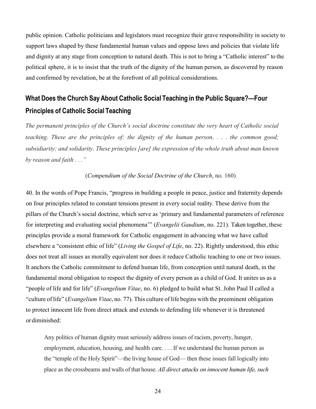public opinion. Catholic politicians and legislators must recognize their grave responsibility in society to support laws shaped by these fundamental human values and oppose laws and policies that violate life and dignity at any stage from conception to natural death. This is not to bring a "Catholic interest" to the political sphere, it is to insist that the truth of the dignity of the human person, as discovered by reason and confirmed by revelation, be at the forefront of all political considerations.

### <span id="page-23-0"></span>**What Does the Church SayAbout Catholic Social Teaching in the Public Square?—Four Principles of Catholic Social Teaching**

*The permanent principles of the Church's social doctrine constitute the very heart of Catholic social teaching. These are the principles of: the dignity of the human person, . . . the common good; subsidiarity; and solidarity. These principles [are] the expression of the whole truth about man known by reason and faith . . ."*

(*Compendium of the Social Doctrine of the Church*, no. 160)

40. In the words of Pope Francis, "progress in building a people in peace, justice and fraternity depends on four principles related to constant tensions present in every social reality. These derive from the pillars of the Church's social doctrine, which serve as 'primary and fundamental parameters of reference for interpreting and evaluating social phenomena'" (*Evangelii Gaudium*, no. 221). Taken together, these principles provide a moral framework for Catholic engagement in advancing what we have called elsewhere a "consistent ethic of life" (*Living the Gospel of Life*, no. 22). Rightly understood, this ethic does not treat all issues as morally equivalent nor does it reduce Catholic teaching to one or two issues. It anchors the Catholic commitment to defend human life, from conception until natural death, in the fundamental moral obligation to respect the dignity of every person as a child of God. It unites us as a "people of life and for life" (*Evangelium Vitae*, no. 6) pledged to build what St. John Paul II called a "culture of life" (*Evangelium Vitae*, no. 77). This culture of life begins with the preeminent obligation to protect innocent life from direct attack and extends to defending life whenever it is threatened or diminished:

Any politics of human dignity must seriously address issues of racism, poverty, hunger, employment, education, housing, and health care. . . . If we understand the human person as the "temple of the Holy Spirit"—the living house of God— then these issues fall logically into place as the crossbeams and walls ofthat house. *All direct attacks on innocent human life, such*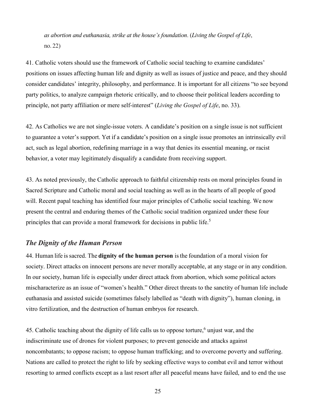*as abortion and euthanasia, strike at the house's foundation*. (*Living the Gospel of Life*, no. 22)

41. Catholic voters should use the framework of Catholic social teaching to examine candidates' positions on issues affecting human life and dignity as well as issues of justice and peace, and they should consider candidates' integrity, philosophy, and performance. It is important for all citizens "to see beyond party politics, to analyze campaign rhetoric critically, and to choose their political leaders according to principle, not party affiliation or mere self-interest" (*Living the Gospel of Life*, no. 33).

42. As Catholics we are not single-issue voters. A candidate's position on a single issue is not sufficient to guarantee a voter's support. Yet if a candidate's position on a single issue promotes an intrinsically evil act, such as legal abortion, redefining marriage in a way that denies its essential meaning, or racist behavior, a voter may legitimately disqualify a candidate from receiving support.

43. As noted previously, the Catholic approach to faithful citizenship rests on moral principles found in Sacred Scripture and Catholic moral and social teaching as well as in the hearts of all people of good will. Recent papal teaching has identified four major principles of Catholic social teaching. We now present the central and enduring themes of the Catholic social tradition organized under these four principles that can provide a moral framework for decisions in public life.<sup>5</sup>

#### <span id="page-24-0"></span>*The Dignity of the Human Person*

44. Human life issacred. The **dignity of the human person** isthe foundation of a moral vision for society. Direct attacks on innocent persons are never morally acceptable, at any stage or in any condition. In our society, human life is especially under direct attack from abortion, which some political actors mischaracterize as an issue of "women's health." Other direct threats to the sanctity of human life include euthanasia and assisted suicide (sometimes falsely labelled as "death with dignity"), human cloning, in vitro fertilization, and the destruction of human embryos for research.

45. Catholic teaching about the dignity of life calls us to oppose torture,<sup>6</sup> unjust war, and the indiscriminate use of drones for violent purposes; to prevent genocide and attacks against noncombatants; to oppose racism; to oppose human trafficking; and to overcome poverty and suffering. Nations are called to protect the right to life by seeking effective ways to combat evil and terror without resorting to armed conflicts except as a last resort after all peaceful means have failed, and to end the use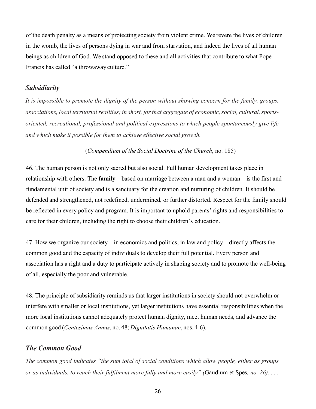of the death penalty as a means of protecting society from violent crime. We revere the lives of children in the womb, the lives of persons dying in war and from starvation, and indeed the lives of all human beings as children of God. We stand opposed to these and all activities that contribute to what Pope Francis has called "a throwaway culture."

#### <span id="page-25-0"></span>*Subsidiarity*

*It is impossible to promote the dignity of the person without showing concern for the family, groups, associations, local territorial realities; in short, for that aggregate of economic, social, cultural, sportsoriented, recreational, professional and political expressions to which people spontaneously give life and which make it possible for them to achieve effective social growth.*

(*Compendium of the Social Doctrine of the Church*, no. 185)

46. The human person is not only sacred but also social. Full human development takes place in relationship with others. The **family**—based on marriage between a man and a woman—is the first and fundamental unit of society and is a sanctuary for the creation and nurturing of children. It should be defended and strengthened, not redefined, undermined, or further distorted. Respect for the family should be reflected in every policy and program. It is important to uphold parents' rights and responsibilities to care for their children, including the right to choose their children's education.

47. How we organize our society—in economics and politics, in law and policy—directly affects the common good and the capacity of individuals to develop their full potential. Every person and association has a right and a duty to participate actively in shaping society and to promote the well-being of all, especially the poor and vulnerable.

48. The principle of subsidiarity reminds us that larger institutions in society should not overwhelm or interfere with smaller or local institutions, yet larger institutions have essential responsibilities when the more local institutions cannot adequately protect human dignity, meet human needs, and advance the common good (*Centesimus Annus*, no. 48; *Dignitatis Humanae*, nos. 4-6).

#### <span id="page-25-1"></span>*The Common Good*

*The common good indicates "the sum total of social conditions which allow people, either as groups or as individuals, to reach their fulfilment more fully and more easily" (*Gaudium et Spes*, no. 26). . . .*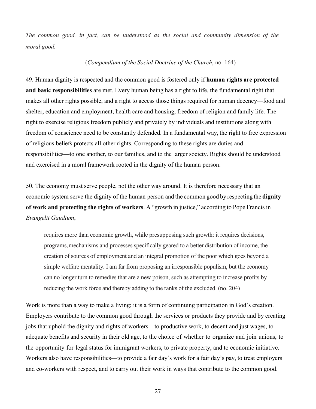*The common good, in fact, can be understood as the social and community dimension of the moral good.*

#### (*Compendium of the Social Doctrine of the Church*, no. 164)

49. Human dignity is respected and the common good is fostered only if **human rights are protected and basic responsibilities** are met. Every human being has a right to life, the fundamental right that makes all other rights possible, and a right to access those things required for human decency—food and shelter, education and employment, health care and housing, freedom of religion and family life. The right to exercise religious freedom publicly and privately by individuals and institutions along with freedom of conscience need to be constantly defended. In a fundamental way, the right to free expression of religious beliefs protects all other rights. Corresponding to these rights are duties and responsibilities—to one another, to our families, and to the larger society. Rights should be understood and exercised in a moral framework rooted in the dignity of the human person.

50. The economy must serve people, not the other way around. It is therefore necessary that an economic system serve the dignity of the human person and the common good by respecting the **dignity of work and protecting the rights of workers**. A "growth in justice," according to Pope Francis in *Evangelii Gaudium*,

requires more than economic growth, while presupposing such growth: it requires decisions, programs,mechanisms and processes specifically geared to a better distribution of income, the creation of sources of employment and an integral promotion of the poor which goes beyond a simple welfare mentality. I am far from proposing an irresponsible populism, but the economy can no longer turn to remedies that are a new poison, such as attempting to increase profits by reducing the work force and thereby adding to the ranks of the excluded. (no. 204)

Work is more than a way to make a living; it is a form of continuing participation in God's creation. Employers contribute to the common good through the services or products they provide and by creating jobs that uphold the dignity and rights of workers—to productive work, to decent and just wages, to adequate benefits and security in their old age, to the choice of whether to organize and join unions, to the opportunity for legal status for immigrant workers, to private property, and to economic initiative. Workers also have responsibilities—to provide a fair day's work for a fair day's pay, to treat employers and co-workers with respect, and to carry out their work in ways that contribute to the common good.

27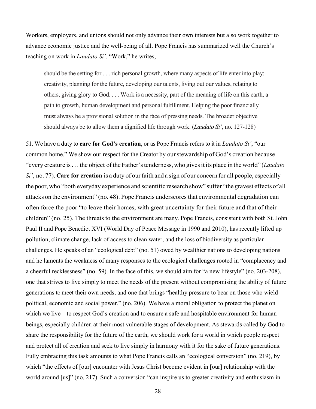Workers, employers, and unions should not only advance their own interests but also work together to advance economic justice and the well-being of all. Pope Francis has summarized well the Church's teaching on work in *Laudato Si'*. "Work," he writes,

should be the setting for . . . rich personal growth, where many aspects of life enter into play: creativity, planning for the future, developing our talents, living out our values, relating to others, giving glory to God. . . . Work is a necessity, part of the meaning of life on this earth, a path to growth, human development and personal fulfillment. Helping the poor financially must always be a provisional solution in the face of pressing needs. The broader objective should always be to allow them a dignified life through work. (*Laudato Si'*, no. 127-128)

51. We have a duty to **care for God's creation**, or as Pope Francis refers to it in *Laudato Si'*, "our common home." We show our respect for the Creator by ourstewardship of God's creation because "every creature is. . . the object ofthe Father'stenderness, who givesit its place in the world" (*Laudato Si'*, no. 77). **Care for creation** is a duty of our faith and a sign of our concern for all people, especially the poor, who "both everyday experience and scientific research show" suffer "the gravest effects of all attacks on the environment" (no. 48). Pope Francis underscoresthat environmental degradation can often force the poor "to leave their homes, with great uncertainty for their future and that of their children" (no. 25). The threats to the environment are many. Pope Francis, consistent with both St. John Paul II and Pope Benedict XVI (World Day of Peace Message in 1990 and 2010), has recently lifted up pollution, climate change, lack of access to clean water, and the loss of biodiversity as particular challenges. He speaks of an "ecological debt" (no. 51) owed by wealthier nations to developing nations and he laments the weakness of many responses to the ecological challenges rooted in "complacency and a cheerful recklessness" (no. 59). In the face of this, we should aim for "a new lifestyle" (no. 203-208), one that strives to live simply to meet the needs of the present without compromising the ability of future generations to meet their own needs, and one that brings "healthy pressure to bear on those who wield political, economic and social power." (no. 206). We have a moral obligation to protect the planet on which we live—to respect God's creation and to ensure a safe and hospitable environment for human beings, especially children at their most vulnerable stages of development. As stewards called by God to share the responsibility for the future of the earth, we should work for a world in which people respect and protect all of creation and seek to live simply in harmony with it for the sake of future generations. Fully embracing this task amounts to what Pope Francis calls an "ecological conversion" (no. 219), by which "the effects of [our] encounter with Jesus Christ become evident in [our] relationship with the world around [us]" (no. 217). Such a conversion "can inspire us to greater creativity and enthusiasm in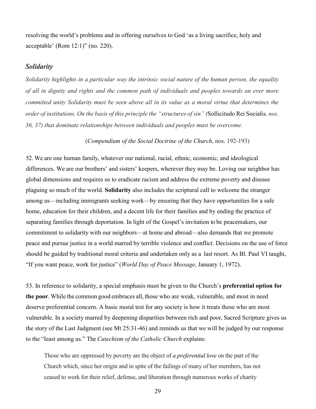resolving the world's problems and in offering ourselves to God 'as a living sacrifice, holy and acceptable' (Rom 12:1)" (no. 220).

#### <span id="page-28-0"></span>*Solidarity*

*Solidarity highlights in a particular way the intrinsic social nature of the human person, the equality of all in dignity and rights and the common path of individuals and peoples towards an ever more committed unity Solidarity must be seen above all in its value as a moral virtue that determines the order of institutions. On the basis of this principle the "structures of sin" (*Sollicitudo Rei Socialis*, nos. 36, 37) that dominate relationships between individuals and peoples must be overcome.*

#### (*Compendium of the Social Doctrine of the Church*, nos. 192-193)

52. We are one human family, whatever our national, racial, ethnic, economic, and ideological differences. We are our brothers' and sisters' keepers, wherever they may be. Loving our neighbor has global dimensions and requires us to eradicate racism and address the extreme poverty and disease plaguing so much of the world. **Solidarity** also includes the scriptural call to welcome the stranger among us—including immigrants seeking work—by ensuring that they have opportunities for a safe home, education for their children, and a decent life for their families and by ending the practice of separating families through deportation. In light of the Gospel's invitation to be peacemakers, our commitment to solidarity with our neighbors—at home and abroad—also demands that we promote peace and pursue justice in a world marred by terrible violence and conflict. Decisions on the use of force should be guided by traditional moral criteria and undertaken only as a last resort. As Bl. Paul VI taught, "If you want peace, work for justice" (*World Day of Peace Message*, January 1, 1972).

53. In reference to solidarity, a special emphasis must be given to the Church's **preferential option for the poor**. While the common good embraces all, those who are weak, vulnerable, and most in need deserve preferential concern. A basic moral test for any society is how it treats those who are most vulnerable. In a society marred by deepening disparities between rich and poor, Sacred Scripture gives us the story of the Last Judgment (see Mt 25:31-46) and reminds us that we will be judged by our response to the "least among us." The *Catechism of the Catholic Church* explains:

Those who are oppressed by poverty are the object of *a preferential love* on the part of the Church which, since her origin and in spite of the failings of many of her members, has not ceased to work for their relief, defense, and liberation through numerous works of charity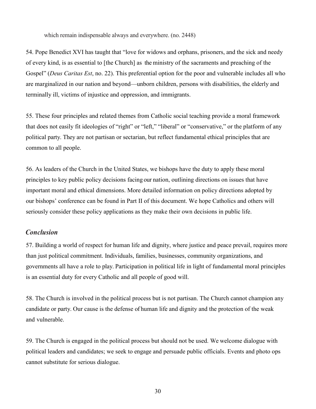which remain indispensable always and everywhere. (no. 2448)

54. Pope Benedict XVI has taught that "love for widows and orphans, prisoners, and the sick and needy of every kind, is as essential to [the Church] as the ministry of the sacraments and preaching of the Gospel" (*Deus Caritas Est*, no. 22). This preferential option for the poor and vulnerable includes all who are marginalized in our nation and beyond—unborn children, persons with disabilities, the elderly and terminally ill, victims of injustice and oppression, and immigrants.

55. These four principles and related themes from Catholic social teaching provide a moral framework that does not easily fit ideologies of "right" or "left," "liberal" or "conservative," or the platform of any political party. They are not partisan or sectarian, but reflect fundamental ethical principles that are common to all people.

56. As leaders of the Church in the United States, we bishops have the duty to apply these moral principles to key public policy decisions facing our nation, outlining directions on issues that have important moral and ethical dimensions. More detailed information on policy directions adopted by our bishops' conference can be found in Part II of this document. We hope Catholics and others will seriously consider these policy applications as they make their own decisions in public life.

#### <span id="page-29-0"></span>*Conclusion*

57. Building a world of respect for human life and dignity, where justice and peace prevail, requires more than just political commitment. Individuals, families, businesses, community organizations, and governments all have a role to play. Participation in political life in light of fundamental moral principles is an essential duty for every Catholic and all people of good will.

58. The Church is involved in the political process but is not partisan. The Church cannot champion any candidate or party. Our cause is the defense of human life and dignity and the protection of the weak and vulnerable.

59. The Church is engaged in the political process but should not be used. We welcome dialogue with political leaders and candidates; we seek to engage and persuade public officials. Events and photo ops cannot substitute for serious dialogue.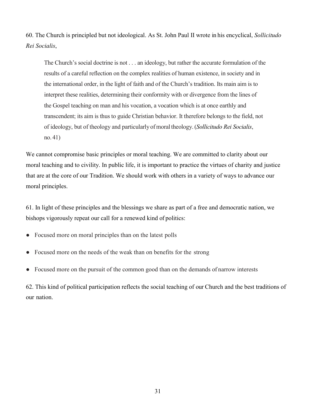60. The Church is principled but not ideological. As St. John Paul II wrote in his encyclical, *Sollicitudo Rei Socialis*,

The Church's social doctrine is not . . . an ideology, but rather the accurate formulation of the results of a careful reflection on the complex realities of human existence, in society and in the international order, in the light of faith and of the Church's tradition. Its main aim is to interpret these realities, determining their conformity with or divergence from the lines of the Gospel teaching on man and his vocation, a vocation which is at once earthly and transcendent; its aim is thus to guide Christian behavior. It therefore belongs to the field, not of ideology, but of theology and particularly ofmoral theology.(*Sollicitudo Rei Socialis*, no. 41)

We cannot compromise basic principles or moral teaching. We are committed to clarity about our moral teaching and to civility. In public life, it is important to practice the virtues of charity and justice that are at the core of our Tradition. We should work with others in a variety of ways to advance our moral principles.

61. In light of these principles and the blessings we share as part of a free and democratic nation, we bishops vigorously repeat our call for a renewed kind of politics:

- Focused more on moral principles than on the latest polls
- Focused more on the needs of the weak than on benefits for the strong
- Focused more on the pursuit of the common good than on the demands of narrow interests

62. This kind of political participation reflects the social teaching of our Church and the best traditions of our nation.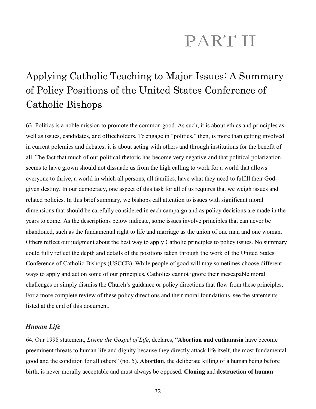# PART II

## <span id="page-31-1"></span><span id="page-31-0"></span>Applying Catholic Teaching to Major Issues: A Summary of Policy Positions of the United States Conference of Catholic Bishops

63. Politics is a noble mission to promote the common good. As such, it is about ethics and principles as well as issues, candidates, and officeholders. To engage in "politics," then, is more than getting involved in current polemics and debates; it is about acting with others and through institutions for the benefit of all. The fact that much of our political rhetoric has become very negative and that political polarization seems to have grown should not dissuade us from the high calling to work for a world that allows everyone to thrive, a world in which all persons, all families, have what they need to fulfill their Godgiven destiny. In our democracy, one aspect of this task for all of us requires that we weigh issues and related policies. In this brief summary, we bishops call attention to issues with significant moral dimensions that should be carefully considered in each campaign and as policy decisions are made in the years to come. As the descriptions below indicate, some issues involve principles that can never be abandoned, such as the fundamental right to life and marriage as the union of one man and one woman. Others reflect our judgment about the best way to apply Catholic principles to policy issues. No summary could fully reflect the depth and details of the positions taken through the work of the United States Conference of Catholic Bishops (USCCB). While people of good will may sometimes choose different ways to apply and act on some of our principles, Catholics cannot ignore their inescapable moral challenges or simply dismiss the Church's guidance or policy directions that flow from these principles. For a more complete review of these policy directions and their moral foundations, see the statements listed at the end of this document.

#### <span id="page-31-2"></span>*Human Life*

64. Our 1998 statement, *Living the Gospel of Life*, declares, "**Abortion and euthanasia** have become preeminent threats to human life and dignity because they directly attack life itself, the most fundamental good and the condition for all others" (no. 5). **Abortion**, the deliberate killing of a human being before birth, is never morally acceptable and must always be opposed. **Cloning** and **destruction of human**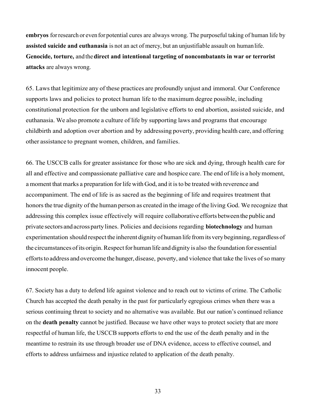**embryos** forresearch or even for potential cures are always wrong. The purposeful taking of human life by **assisted suicide and euthanasia** is not an act of mercy, but an unjustifiable assault on humanlife. **Genocide, torture,** and the**direct and intentional targeting of noncombatants in war or terrorist attacks** are always wrong.

65. Lawsthat legitimize any of these practices are profoundly unjust and immoral. Our Conference supports laws and policies to protect human life to the maximum degree possible, including constitutional protection for the unborn and legislative efforts to end abortion, assisted suicide, and euthanasia. We also promote a culture of life by supporting laws and programs that encourage childbirth and adoption over abortion and by addressing poverty, providing health care, and offering other assistance to pregnant women, children, and families.

66. The USCCB calls for greater assistance for those who are sick and dying, through health care for all and effective and compassionate palliative care and hospice care. The end of life is a holy moment, a moment that marks a preparation for life with God, and it is to be treated with reverence and accompaniment. The end of life is as sacred as the beginning of life and requires treatment that honorsthe true dignity of the human person as created in the image of the living God. We recognize that addressing this complex issue effectively will require collaborative efforts betweenthe public and private sectors andacrossparty lines. Policies and decisions regarding **biotechnology** and human experimentation should respect the inherent dignity of human life from its very beginning, regardless of the circumstances of its origin. Respect for human life and dignity is also the foundation for essential efforts to address and overcome the hunger, disease, poverty, and violence that take the lives of so many innocent people.

67. Society has a duty to defend life against violence and to reach out to victims of crime. The Catholic Church has accepted the death penalty in the past for particularly egregious crimes when there was a serious continuing threat to society and no alternative was available. But our nation's continued reliance on the **death penalty** cannot be justified. Because we have other ways to protect society that are more respectful of human life, the USCCB supports efforts to end the use of the death penalty and in the meantime to restrain its use through broader use of DNA evidence, access to effective counsel, and efforts to address unfairness and injustice related to application of the death penalty.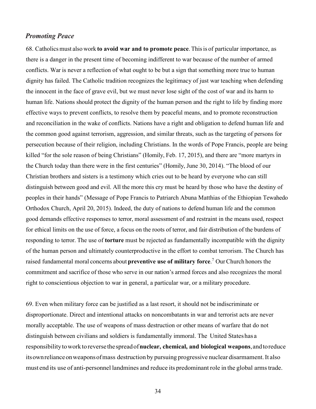#### <span id="page-33-0"></span>*Promoting Peace*

68. Catholicsmust also work **to avoid war and to promote peace**. Thisis of particular importance, as there is a danger in the present time of becoming indifferent to war because of the number of armed conflicts. War is never a reflection of what ought to be but a sign that something more true to human dignity has failed. The Catholic tradition recognizes the legitimacy of just war teaching when defending the innocent in the face of grave evil, but we must never lose sight of the cost of war and its harm to human life. Nations should protect the dignity of the human person and the right to life by finding more effective ways to prevent conflicts, to resolve them by peaceful means, and to promote reconstruction and reconciliation in the wake of conflicts. Nations have a right and obligation to defend human life and the common good against terrorism, aggression, and similar threats, such as the targeting of persons for persecution because of their religion, including Christians. In the words of Pope Francis, people are being killed "for the sole reason of being Christians" (Homily, Feb. 17, 2015), and there are "more martyrs in the Church today than there were in the first centuries" (Homily, June 30, 2014). "The blood of our Christian brothers and sisters is a testimony which cries out to be heard by everyone who can still distinguish between good and evil. All the more this cry must be heard by those who have the destiny of peoples in their hands" (Message of Pope Francis to Patriarch Abuna Matthias of the Ethiopian Tewahedo Orthodox Church, April 20, 2015). Indeed, the duty of nations to defend human life and the common good demands effective responses to terror, moral assessment of and restraint in the means used, respect for ethical limits on the use of force, a focus on the roots of terror, and fair distribution of the burdens of responding to terror. The use of **torture** must be rejected as fundamentally incompatible with the dignity of the human person and ultimately counterproductive in the effort to combat terrorism. The Church has raised fundamental moral concerns about **preventive use of military force**. <sup>7</sup> OurChurch honors the commitment and sacrifice of those who serve in our nation's armed forces and also recognizes the moral right to conscientious objection to war in general, a particular war, or a military procedure.

69. Even when military force can be justified as a last resort, it should not be indiscriminate or disproportionate. Direct and intentional attacks on noncombatants in war and terrorist acts are never morally acceptable. The use of weapons of mass destruction or other means of warfare that do not distinguish between civilians and soldiers is fundamentally immoral. The United Stateshasa responsibilitytoworktoreversethespreadof**nuclear, chemical, and biological weapons**,andtoreduce its own reliance on weapons of mass destruction by pursuing progressive nuclear disarmament. It also must end its use of anti-personnel landmines and reduce its predominant role in the global armstrade.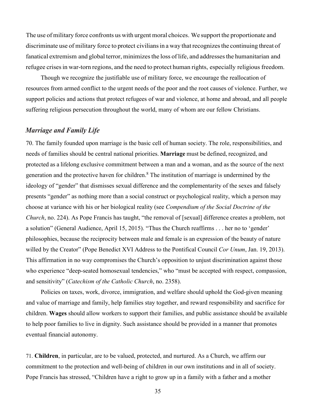The use of military force confronts us with urgent moral choices. We support the proportionate and discriminate use of military force to protect civilians in a way that recognizes the continuing threat of fanatical extremism and global terror, minimizes the loss of life, and addresses the humanitarian and refugee crisesin war-torn regions, and the need to protect human rights, especially religious freedom.

Though we recognize the justifiable use of military force, we encourage the reallocation of resources from armed conflict to the urgent needs of the poor and the root causes of violence. Further, we support policies and actions that protect refugees of war and violence, at home and abroad, and all people suffering religious persecution throughout the world, many of whom are our fellow Christians.

#### <span id="page-34-0"></span>*Marriage and Family Life*

70. The family founded upon marriage is the basic cell of human society. The role, responsibilities, and needs of families should be central national priorities. **Marriage** must be defined, recognized, and protected as a lifelong exclusive commitment between a man and a woman, and as the source of the next generation and the protective haven for children.<sup>8</sup> The institution of marriage is undermined by the ideology of "gender" that dismisses sexual difference and the complementarity of the sexes and falsely presents "gender" as nothing more than a social construct or psychological reality, which a person may choose at variance with his or her biological reality (see *Compendium of the Social Doctrine of the Church*, no. 224). As Pope Francis has taught, "the removal of [sexual] difference creates a problem, not a solution" (General Audience, April 15, 2015). "Thus the Church reaffirms . . . her no to 'gender' philosophies, because the reciprocity between male and female is an expression of the beauty of nature willed by the Creator" (Pope Benedict XVI Address to the Pontifical Council *Cor Unum*, Jan. 19, 2013). This affirmation in no way compromises the Church's opposition to unjust discrimination against those who experience "deep-seated homosexual tendencies," who "must be accepted with respect, compassion, and sensitivity" (*Catechism of the Catholic Church*, no. 2358).

Policies on taxes, work, divorce, immigration, and welfare should uphold the God-given meaning and value of marriage and family, help families stay together, and reward responsibility and sacrifice for children. **Wages** should allow workers to support their families, and public assistance should be available to help poor families to live in dignity. Such assistance should be provided in a manner that promotes eventual financial autonomy.

71. **Children**, in particular, are to be valued, protected, and nurtured. As a Church, we affirm our commitment to the protection and well-being of children in our own institutions and in all of society. Pope Francis has stressed, "Children have a right to grow up in a family with a father and a mother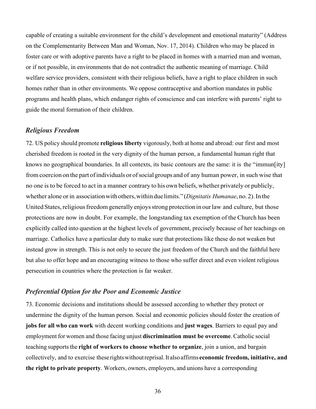capable of creating a suitable environment for the child's development and emotional maturity" (Address on the Complementarity Between Man and Woman, Nov. 17, 2014). Children who may be placed in foster care or with adoptive parents have a right to be placed in homes with a married man and woman, or if not possible, in environments that do not contradict the authentic meaning of marriage. Child welfare service providers, consistent with their religious beliefs, have a right to place children in such homes rather than in other environments. We oppose contraceptive and abortion mandates in public programs and health plans, which endanger rights of conscience and can interfere with parents' right to guide the moral formation of their children.

#### <span id="page-35-0"></span>*Religious Freedom*

72. US policy should promote **religious liberty** vigorously, both at home and abroad: our first and most cherished freedom is rooted in the very dignity of the human person, a fundamental human right that knows no geographical boundaries. In all contexts, its basic contours are the same: it is the "immun[ity] from coercion on the part of individuals or of social groups and of any human power, in such wise that no one is to be forced to act in a manner contrary to his own beliefs, whether privately or publicly, whether alone or in association with others, within due limits." (*Dignitatis Humanae*, no. 2). In the United States, religious freedom generally enjoys strong protection in our law and culture, but those protections are now in doubt. For example, the longstanding tax exemption of the Church has been explicitly called into question at the highest levels of government, precisely because of her teachings on marriage. Catholics have a particular duty to make sure that protections like these do not weaken but instead grow in strength. This is not only to secure the just freedom of the Church and the faithful here but also to offer hope and an encouraging witness to those who suffer direct and even violent religious persecution in countries where the protection is far weaker.

#### <span id="page-35-1"></span>*Preferential Option for the Poor and Economic Justice*

73. Economic decisions and institutions should be assessed according to whether they protect or undermine the dignity of the human person. Social and economic policies should foster the creation of **jobs for all who can work** with decent working conditions and **just wages**. Barriers to equal pay and employment for women and those facing unjust **discrimination must be overcome**. Catholic social teaching supportsthe **right of workers to choose whether to organize**, join a union, and bargain collectively, and to exercise these rightswithoutreprisal.It alsoaffirms **economic freedom, initiative, and the right to private property**. Workers, owners, employers, and unions have a corresponding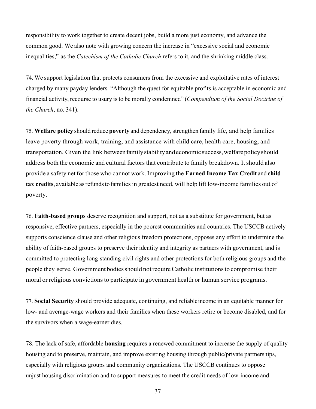responsibility to work together to create decent jobs, build a more just economy, and advance the common good. We also note with growing concern the increase in "excessive social and economic inequalities," as the *Catechism of the Catholic Church* refers to it, and the shrinking middle class.

74. We support legislation that protects consumers from the excessive and exploitative rates of interest charged by many payday lenders. "Although the quest for equitable profits is acceptable in economic and financial activity, recourse to usury is to be morally condemned" (*Compendium of the Social Doctrine of the Church*, no. 341).

75. **Welfare policy** should reduce **poverty** and dependency,strengthen family life, and help families leave poverty through work, training, and assistance with child care, health care, housing, and transportation. Given the link between family stability and economic success, welfare policy should address both the economic and cultural factors that contribute to family breakdown. It should also provide a safety net for those who cannot work. Improving the **Earned Income Tax Credit** and **child tax credits**, available as refunds to families in greatest need, will help lift low-income families out of poverty.

76. **Faith-based groups** deserve recognition and support, not as a substitute for government, but as responsive, effective partners, especially in the poorest communities and countries. The USCCB actively supports conscience clause and other religious freedom protections, opposes any effort to undermine the ability of faith-based groups to preserve their identity and integrity as partners with government, and is committed to protecting long-standing civil rights and other protections for both religious groups and the people they serve. Government bodies should not require Catholic institutions to compromise their moral or religious convictions to participate in government health or human service programs.

77. **Social Security** should provide adequate, continuing, and reliableincome in an equitable manner for low- and average-wage workers and their families when these workers retire or become disabled, and for the survivors when a wage-earner dies.

78. The lack of safe, affordable **housing** requires a renewed commitment to increase the supply of quality housing and to preserve, maintain, and improve existing housing through public/private partnerships, especially with religious groups and community organizations. The USCCB continues to oppose unjust housing discrimination and to support measures to meet the credit needs of low-income and

37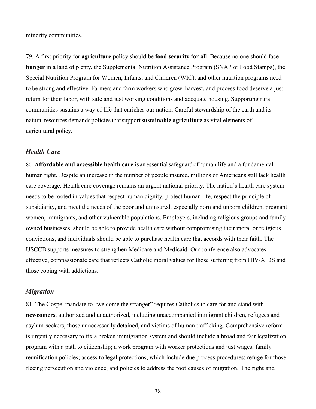minority communities.

79. A first priority for **agriculture** policy should be **food security for all**. Because no one should face **hunger** in a land of plenty, the Supplemental Nutrition Assistance Program (SNAP or Food Stamps), the Special Nutrition Program for Women, Infants, and Children (WIC), and other nutrition programs need to be strong and effective. Farmers and farm workers who grow, harvest, and process food deserve a just return for their labor, with safe and just working conditions and adequate housing. Supporting rural communities sustains a way of life that enriches our nation. Careful stewardship of the earth and its natural resources demands policies that support **sustainable agriculture** as vital elements of agricultural policy.

#### <span id="page-37-0"></span>*Health Care*

80. **Affordable and accessible health care** is an essentialsafeguard of human life and a fundamental human right. Despite an increase in the number of people insured, millions of Americans still lack health care coverage. Health care coverage remains an urgent national priority. The nation's health care system needs to be rooted in values that respect human dignity, protect human life, respect the principle of subsidiarity, and meet the needs of the poor and uninsured, especially born and unborn children, pregnant women, immigrants, and other vulnerable populations. Employers, including religious groups and familyowned businesses, should be able to provide health care without compromising their moral or religious convictions, and individuals should be able to purchase health care that accords with their faith. The USCCB supports measures to strengthen Medicare and Medicaid. Our conference also advocates effective, compassionate care that reflects Catholic moral values for those suffering from HIV/AIDS and those coping with addictions.

#### <span id="page-37-1"></span>*Migration*

81. The Gospel mandate to "welcome the stranger" requires Catholics to care for and stand with **newcomers**, authorized and unauthorized, including unaccompanied immigrant children, refugees and asylum-seekers, those unnecessarily detained, and victims of human trafficking. Comprehensive reform is urgently necessary to fix a broken immigration system and should include a broad and fair legalization program with a path to citizenship; a work program with worker protections and just wages; family reunification policies; access to legal protections, which include due process procedures; refuge for those fleeing persecution and violence; and policies to address the root causes of migration. The right and

38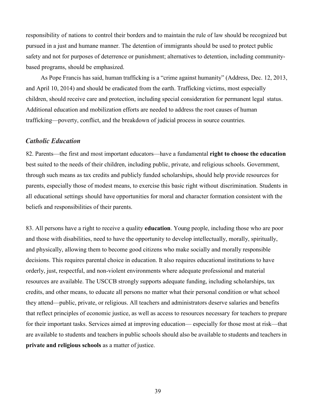responsibility of nations to control their borders and to maintain the rule of law should be recognized but pursued in a just and humane manner. The detention of immigrants should be used to protect public safety and not for purposes of deterrence or punishment; alternatives to detention, including communitybased programs, should be emphasized.

As Pope Francis has said, human trafficking is a "crime against humanity" (Address, Dec. 12, 2013, and April 10, 2014) and should be eradicated from the earth. Trafficking victims, most especially children, should receive care and protection, including special consideration for permanent legal status. Additional education and mobilization efforts are needed to address the root causes of human trafficking—poverty, conflict, and the breakdown of judicial process in source countries.

#### <span id="page-38-0"></span>*Catholic Education*

82. Parents—the first and most important educators—have a fundamental **right to choose the education**  best suited to the needs of their children, including public, private, and religious schools. Government, through such means as tax credits and publicly funded scholarships, should help provide resources for parents, especially those of modest means, to exercise this basic right without discrimination. Students in all educational settings should have opportunities for moral and character formation consistent with the beliefs and responsibilities of their parents.

83. All persons have a right to receive a quality **education**. Young people, including those who are poor and those with disabilities, need to have the opportunity to develop intellectually, morally, spiritually, and physically, allowing them to become good citizens who make socially and morally responsible decisions. This requires parental choice in education. It also requires educational institutions to have orderly, just, respectful, and non-violent environments where adequate professional and material resources are available. The USCCB strongly supports adequate funding, including scholarships, tax credits, and other means, to educate all persons no matter what their personal condition or what school they attend—public, private, or religious. All teachers and administrators deserve salaries and benefits that reflect principles of economic justice, as well as access to resources necessary for teachers to prepare for their important tasks. Services aimed at improving education— especially for those most at risk—that are available to students and teachers in public schools should also be available to students and teachers in **private and religious schools** as a matter of justice.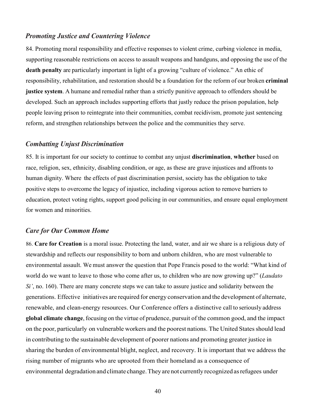#### <span id="page-39-0"></span>*Promoting Justice and Countering Violence*

84. Promoting moral responsibility and effective responses to violent crime, curbing violence in media, supporting reasonable restrictions on access to assault weapons and handguns, and opposing the use of the **death penalty** are particularly important in light of a growing "culture of violence." An ethic of responsibility, rehabilitation, and restoration should be a foundation for the reform of our broken **criminal justice system**. A humane and remedial rather than a strictly punitive approach to offenders should be developed. Such an approach includes supporting efforts that justly reduce the prison population, help people leaving prison to reintegrate into their communities, combat recidivism, promote just sentencing reform, and strengthen relationships between the police and the communities they serve.

#### <span id="page-39-1"></span>*Combatting Unjust Discrimination*

85. It is important for our society to continue to combat any unjust **discrimination**, **whether** based on race, religion, sex, ethnicity, disabling condition, or age, as these are grave injustices and affronts to human dignity. Where the effects of past discrimination persist, society has the obligation to take positive steps to overcome the legacy of injustice, including vigorous action to remove barriers to education, protect voting rights, support good policing in our communities, and ensure equal employment for women and minorities.

#### <span id="page-39-2"></span>*Care for Our Common Home*

86. **Care for Creation** is a moral issue. Protecting the land, water, and air we share is a religious duty of stewardship and reflects our responsibility to born and unborn children, who are most vulnerable to environmental assault. We must answer the question that Pope Francis posed to the world: "What kind of world do we want to leave to those who come after us, to children who are now growing up?" (*Laudato Si'*, no. 160). There are many concrete steps we can take to assure justice and solidarity between the generations. Effective initiatives are required for energy conservation and the development of alternate, renewable, and clean-energy resources. Our Conference offers a distinctive call to seriously address **global climate change**, focusing on the virtue of prudence, pursuit of the common good, and the impact on the poor, particularly on vulnerable workers and the poorest nations. The United States should lead in contributing to the sustainable development of poorer nations and promoting greater justice in sharing the burden of environmental blight, neglect, and recovery. It is important that we address the rising number of migrants who are uprooted from their homeland as a consequence of environmental degradation and climate change.They are not currently recognized asrefugees under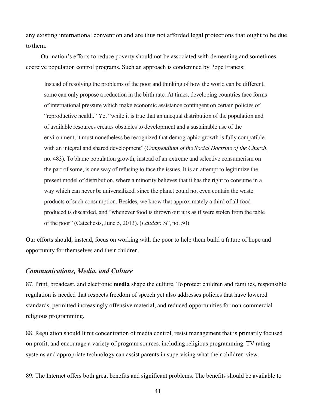any existing international convention and are thus not afforded legal protections that ought to be due to them.

Our nation's efforts to reduce poverty should not be associated with demeaning and sometimes coercive population control programs. Such an approach is condemned by Pope Francis:

Instead of resolving the problems of the poor and thinking of how the world can be different, some can only propose a reduction in the birth rate. At times, developing countries face forms of international pressure which make economic assistance contingent on certain policies of "reproductive health." Yet "while it is true that an unequal distribution of the population and of available resources creates obstacles to development and a sustainable use of the environment, it must nonetheless be recognized that demographic growth is fully compatible with an integral and shared development" (*Compendium of the Social Doctrine of the Church*, no. 483). To blame population growth, instead of an extreme and selective consumerism on the part of some, is one way of refusing to face the issues. It is an attempt to legitimize the present model of distribution, where a minority believes that it has the right to consume in a way which can never be universalized, since the planet could not even contain the waste products of such consumption. Besides, we know that approximately a third of all food produced is discarded, and "whenever food is thrown out it is as if were stolen from the table of the poor" (Catechesis, June 5, 2013). (*Laudato Si'*, no. 50)

Our efforts should, instead, focus on working with the poor to help them build a future of hope and opportunity for themselves and their children.

#### <span id="page-40-0"></span>*Communications, Media, and Culture*

87. Print, broadcast, and electronic **media** shape the culture. To protect children and families, responsible regulation is needed that respects freedom of speech yet also addresses policies that have lowered standards, permitted increasingly offensive material, and reduced opportunities for non-commercial religious programming.

88. Regulation should limit concentration of media control, resist management that is primarily focused on profit, and encourage a variety of program sources, including religious programming. TV rating systems and appropriate technology can assist parents in supervising what their children view.

89. The Internet offers both great benefits and significant problems. The benefits should be available to

41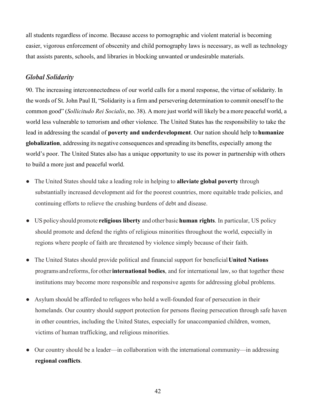all students regardless of income. Because access to pornographic and violent material is becoming easier, vigorous enforcement of obscenity and child pornography laws is necessary, as well as technology that assists parents, schools, and libraries in blocking unwanted or undesirable materials.

#### <span id="page-41-0"></span>*Global Solidarity*

90. The increasing interconnectedness of our world calls for a moral response, the virtue of solidarity. In the words of St. John Paul II, "Solidarity is a firm and persevering determination to commit oneself to the common good" (*Sollicitudo Rei Socialis*, no. 38). A more just world will likely be a more peaceful world, a world less vulnerable to terrorism and other violence. The United States has the responsibility to take the lead in addressing the scandal of **poverty and underdevelopment**. Our nation should help to**humanize globalization**, addressing its negative consequences and spreading its benefits, especially among the world's poor. The United States also has a unique opportunity to use its power in partnership with others to build a more just and peaceful world.

- The United States should take a leading role in helping to **alleviate global poverty** through substantially increased development aid for the poorest countries, more equitable trade policies, and continuing efforts to relieve the crushing burdens of debt and disease.
- US policyshould promote **religious liberty** and other basic **human rights**. In particular, US policy should promote and defend the rights of religious minorities throughout the world, especially in regions where people of faith are threatened by violence simply because of their faith.
- The United States should provide political and financial support for beneficial**United Nations**  programs and reforms,for other**international bodies**, and for international law, so that together these institutions may become more responsible and responsive agents for addressing global problems.
- Asylum should be afforded to refugees who hold a well-founded fear of persecution in their homelands. Our country should support protection for persons fleeing persecution through safe haven in other countries, including the United States, especially for unaccompanied children, women, victims of human trafficking, and religious minorities.
- Our country should be a leader—in collaboration with the international community—in addressing **regional conflicts**.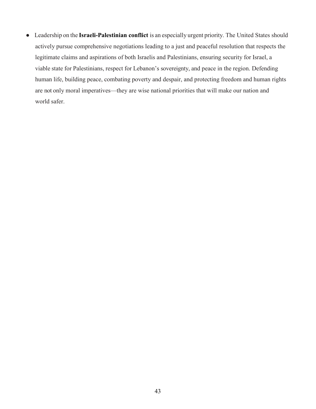● Leadership on the **Israeli-Palestinian conflict** is an especially urgent priority. The United States should actively pursue comprehensive negotiations leading to a just and peaceful resolution that respects the legitimate claims and aspirations of both Israelis and Palestinians, ensuring security for Israel, a viable state for Palestinians, respect for Lebanon's sovereignty, and peace in the region. Defending human life, building peace, combating poverty and despair, and protecting freedom and human rights are not only moral imperatives—they are wise national priorities that will make our nation and world safer.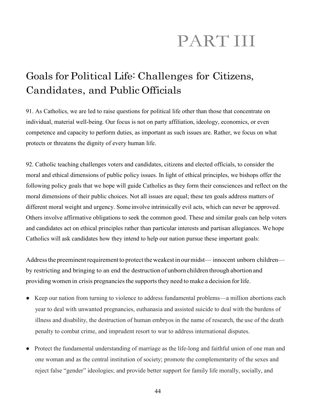# PART III

# <span id="page-43-1"></span><span id="page-43-0"></span>Goals for Political Life: Challenges for Citizens, Candidates, and Public Officials

91. As Catholics, we are led to raise questions for political life other than those that concentrate on individual, material well-being. Our focus is not on party affiliation, ideology, economics, or even competence and capacity to perform duties, as important as such issues are. Rather, we focus on what protects or threatens the dignity of every human life.

92. Catholic teaching challenges voters and candidates, citizens and elected officials, to consider the moral and ethical dimensions of public policy issues. In light of ethical principles, we bishops offer the following policy goals that we hope will guide Catholics as they form their consciences and reflect on the moral dimensions of their public choices. Not all issues are equal; these ten goals address matters of different moral weight and urgency. Some involve intrinsically evil acts, which can never be approved. Others involve affirmative obligations to seek the common good. These and similar goals can help voters and candidates act on ethical principles rather than particular interests and partisan allegiances. We hope Catholics will ask candidates how they intend to help our nation pursue these important goals:

Address the preeminent requirement to protect the weakest in our midst— innocent unborn children by restricting and bringing to an end the destruction of unborn children through abortion and providing women in crisis pregnancies the supports they need to make a decision for life.

- Keep our nation from turning to violence to address fundamental problems—a million abortions each year to deal with unwanted pregnancies, euthanasia and assisted suicide to deal with the burdens of illness and disability, the destruction of human embryos in the name of research, the use of the death penalty to combat crime, and imprudent resort to war to address international disputes.
- Protect the fundamental understanding of marriage as the life-long and faithful union of one man and one woman and as the central institution of society; promote the complementarity of the sexes and reject false "gender" ideologies; and provide better support for family life morally, socially, and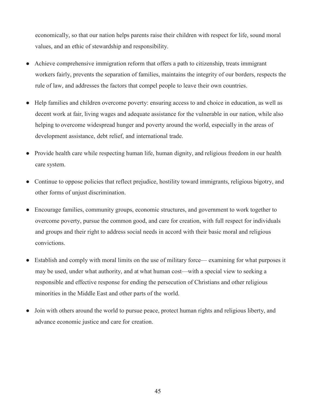economically, so that our nation helps parents raise their children with respect for life, sound moral values, and an ethic of stewardship and responsibility.

- Achieve comprehensive immigration reform that offers a path to citizenship, treats immigrant workers fairly, prevents the separation of families, maintains the integrity of our borders, respects the rule of law, and addresses the factors that compel people to leave their own countries.
- Help families and children overcome poverty: ensuring access to and choice in education, as well as decent work at fair, living wages and adequate assistance for the vulnerable in our nation, while also helping to overcome widespread hunger and poverty around the world, especially in the areas of development assistance, debt relief, and international trade.
- Provide health care while respecting human life, human dignity, and religious freedom in our health care system.
- Continue to oppose policies that reflect prejudice, hostility toward immigrants, religious bigotry, and other forms of unjust discrimination.
- Encourage families, community groups, economic structures, and government to work together to overcome poverty, pursue the common good, and care for creation, with full respect for individuals and groups and their right to address social needs in accord with their basic moral and religious convictions.
- Establish and comply with moral limits on the use of military force— examining for what purposes it may be used, under what authority, and at what human cost—with a special view to seeking a responsible and effective response for ending the persecution of Christians and other religious minorities in the Middle East and other parts of the world.
- Join with others around the world to pursue peace, protect human rights and religious liberty, and advance economic justice and care for creation.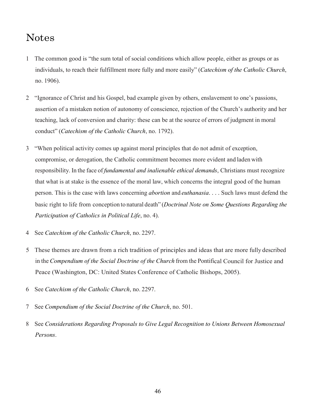## <span id="page-45-0"></span>Notes

- 1 The common good is "the sum total of social conditions which allow people, either as groups or as individuals, to reach their fulfillment more fully and more easily" (*Catechism of the Catholic Church*, no. 1906).
- 2 "Ignorance of Christ and his Gospel, bad example given by others, enslavement to one's passions, assertion of a mistaken notion of autonomy of conscience, rejection of the Church's authority and her teaching, lack of conversion and charity: these can be at the source of errors of judgment in moral conduct" (*Catechism of the Catholic Church*, no. 1792).
- 3 "When political activity comes up against moral principles that do not admit of exception, compromise, or derogation, the Catholic commitment becomes more evident and laden with responsibility. In the face of *fundamental and inalienable ethical demands*, Christians must recognize that what is at stake is the essence of the moral law, which concerns the integral good of the human person. This is the case with laws concerning *abortion* and *euthanasia*. . . . Such laws must defend the basic right to life from conception to natural death" (*Doctrinal Note on Some Questions Regarding the Participation of Catholics in Political Life*, no. 4).
- 4 See *Catechism of the Catholic Church*, no. 2297.
- 5 These themes are drawn from a rich tradition of principles and ideas that are more fully described in the *Compendium of the Social Doctrine of the Church* from the Pontifical Council for Justice and Peace (Washington, DC: United States Conference of Catholic Bishops, 2005).
- 6 See *Catechism of the Catholic Church*, no. 2297.
- 7 See *Compendium of the Social Doctrine of the Church*, no. 501.
- 8 See *Considerations Regarding Proposals to Give Legal Recognition to Unions Between Homosexual Persons*.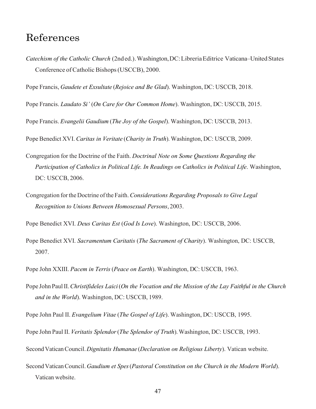### <span id="page-46-0"></span>References

*Catechism of the Catholic Church (2nded.).* Washington, DC: Libreria Editrice Vaticana–United States Conference of Catholic Bishops (USCCB), 2000.

Pope Francis, *Gaudete et Exsultate* (*Rejoice and Be Glad*). Washington, DC: USCCB, 2018.

Pope Francis. *Laudato Si'* (*On Care for Our Common Home*). Washington, DC: USCCB, 2015.

Pope Francis. *Evangelii Gaudium* (*The Joy of the Gospel*). Washington, DC: USCCB, 2013.

PopeBenedict XVI. *Caritas in Veritate* (*Charity in Truth*). Washington, DC: USCCB, 2009.

- Congregation for the Doctrine of the Faith. *Doctrinal Note on Some Questions Regarding the Participation of Catholics in Political Life. In Readings on Catholics in Political Life*. Washington, DC: USCCB, 2006.
- Congregation forthe Doctrine ofthe Faith.*Considerations Regarding Proposals to Give Legal Recognition to Unions Between Homosexual Persons*, 2003.

Pope Benedict XVI. *Deus Caritas Est* (*God Is Love*). Washington, DC: USCCB, 2006.

- Pope Benedict XVI. *Sacramentum Caritatis* (*The Sacrament of Charity*). Washington, DC: USCCB, 2007.
- Pope John XXIII. *Pacem in Terris* (*Peace on Earth*). Washington, DC: USCCB, 1963.
- Pope John PaulII.*Christifideles Laici*(*On the Vocation and the Mission of the Lay Faithful in the Church and in the World*). Washington, DC: USCCB, 1989.

Pope John Paul II. *Evangelium Vitae* (*The Gospel of Life*). Washington, DC: USCCB, 1995.

Pope John Paul II. *Veritatis Splendor*(*The Splendor of Truth*).Washington, DC: USCCB, 1993.

SecondVaticanCouncil.*Dignitatis Humanae* (*Declaration on Religious Liberty*). Vatican website.

Second VaticanCouncil. *Gaudium et Spes*(*Pastoral Constitution on the Church in the Modern World*). Vatican website.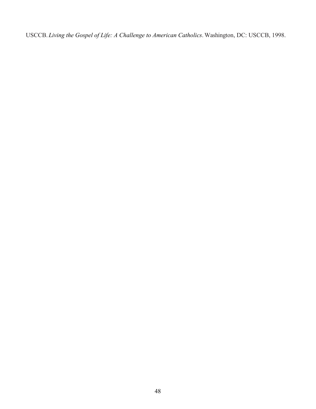<span id="page-47-0"></span>USCCB. *Living the Gospel of Life: A Challenge to American Catholics*. Washington, DC: USCCB, 1998.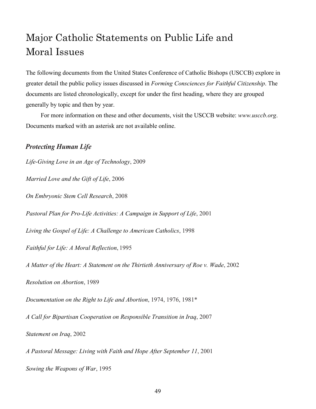## Major Catholic Statements on Public Life and Moral Issues

The following documents from the United States Conference of Catholic Bishops (USCCB) explore in greater detail the public policy issues discussed in *Forming Consciences for Faithful Citizenship*. The documents are listed chronologically, except for under the first heading, where they are grouped generally by topic and then by year.

For more information on these and other documents, visit the USCCB website: *[www.usccb.org](http://www.usccb.org/)*. Documents marked with an asterisk are not available online.

#### <span id="page-48-0"></span>*Protecting Human Life*

*Life-Giving Love in an Age of Technology*, 2009 *Married Love and the Gift of Life*, 2006 *On Embryonic Stem Cell Research*, 2008 *Pastoral Plan for Pro-Life Activities: A Campaign in Support of Life*, 2001 *Living the Gospel of Life: A Challenge to American Catholics*, 1998 *Faithful for Life: A Moral Reflection*, 1995 *A Matter of the Heart: A Statement on the Thirtieth Anniversary of Roe v. Wade*, 2002 *Resolution on Abortion*, 1989 *Documentation on the Right to Life and Abortion*, 1974, 1976, 1981\* *A Call for Bipartisan Cooperation on Responsible Transition in Iraq*, 2007 *Statement on Iraq*, 2002 *A Pastoral Message: Living with Faith and Hope After September 11*, 2001 *Sowing the Weapons of War*, 1995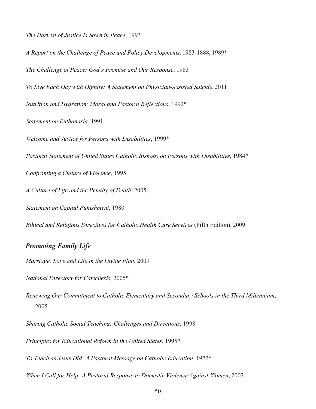*The Harvest of Justice Is Sown in Peace*, 1993

*A Report on the Challenge of Peace and Policy Developments*, 1983-1888, 1989\* *The Challenge of Peace: God's Promise and Our Response*, 1983 *To Live Each Day with Dignity: A Statement on Physician-Assisted Suicide*, 2011 *Nutrition and Hydration: Moral and Pastoral Reflections*, 1992\* *Statement on Euthanasia*, 1991 *Welcome and Justice for Persons with Disabilities*, 1999\* *Pastoral Statement of United States Catholic Bishops on Persons with Disabilities*, 1984\* *Confronting a Culture of Violence*, 1995 *A Culture of Life and the Penalty of Death*, 2005 *Statement on Capital Punishment*, 1980

*Ethical and Religious Directives for Catholic Health Care Services* (Fifth Edition), 2009

#### <span id="page-49-0"></span>*Promoting Family Life*

*Marriage: Love and Life in the Divine Plan*, 2009

*National Directory for Catechesis*, 2005\*

*Renewing Our Commitment to Catholic Elementary and Secondary Schools in the Third Millennium*, 2005

*Sharing Catholic Social Teaching: Challenges and Directions*, 1998

*Principles for Educational Reform in the United States*, 1995\*

*To Teach as Jesus Did: A Pastoral Message on Catholic Education*, 1972\*

*When I Call for Help: A Pastoral Response to Domestic Violence Against Women*, 2002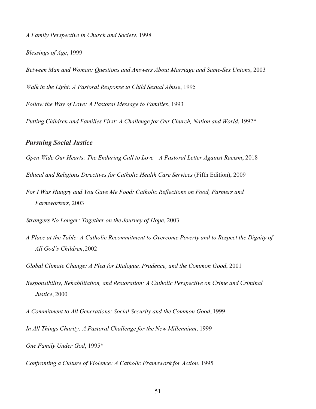*A Family Perspective in Church and Society*, 1998

*Blessings of Age*, 1999

*Between Man and Woman: Questions and Answers About Marriage and Same-Sex Unions*, 2003 *Walk in the Light: A Pastoral Response to Child Sexual Abuse*, 1995 *Follow the Way of Love: A Pastoral Message to Families*, 1993

*Putting Children and Families First: A Challenge for Our Church, Nation and World*, 1992\*

#### <span id="page-50-0"></span>*Pursuing Social Justice*

*Open Wide Our Hearts: The Enduring Call to Love—A Pastoral Letter Against Racism*, 2018

*Ethical and Religious Directives for Catholic Health Care Services* (Fifth Edition), 2009

*For I Was Hungry and You Gave Me Food: Catholic Reflections on Food, Farmers and Farmworkers*, 2003

*Strangers No Longer: Together on the Journey of Hope*, 2003

*A Place at the Table: A Catholic Recommitment to Overcome Poverty and to Respect the Dignity of All God's Children*,2002

*Global Climate Change: A Plea for Dialogue, Prudence, and the Common Good*, 2001

*Responsibility, Rehabilitation, and Restoration: A Catholic Perspective on Crime and Criminal Justice*, 2000

*A Commitment to All Generations: Social Security and the Common Good*, 1999

*In All Things Charity: A Pastoral Challenge for the New Millennium*, 1999

*One Family Under God*, 1995\*

*Confronting a Culture of Violence: A Catholic Framework for Action*, 1995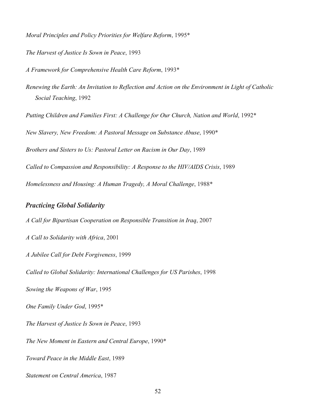*Moral Principles and Policy Priorities for Welfare Reform*, 1995\*

*The Harvest of Justice Is Sown in Peace*, 1993

*A Framework for Comprehensive Health Care Reform*, 1993\*

*Renewing the Earth: An Invitation to Reflection and Action on the Environment in Light of Catholic Social Teaching*, 1992

*Putting Children and Families First: A Challenge for Our Church, Nation and World*, 1992\* *New Slavery, New Freedom: A Pastoral Message on Substance Abuse*, 1990\* *Brothers and Sisters to Us: Pastoral Letter on Racism in Our Day*, 1989 *Called to Compassion and Responsibility: A Response to the HIV/AIDS Crisis*, 1989 *Homelessness and Housing: A Human Tragedy, A Moral Challenge*, 1988\*

#### <span id="page-51-0"></span>*Practicing Global Solidarity*

*A Call for Bipartisan Cooperation on Responsible Transition in Iraq*, 2007 *A Call to Solidarity with Africa*, 2001 *A Jubilee Call for Debt Forgiveness*, 1999 *Called to Global Solidarity: International Challenges for US Parishes*, 1998 *Sowing the Weapons of War*, 1995 *One Family Under God*, 1995\* *The Harvest of Justice Is Sown in Peace*, 1993 *The New Moment in Eastern and Central Europe*, 1990\* *Toward Peace in the Middle East*, 1989 *Statement on Central America*, 1987